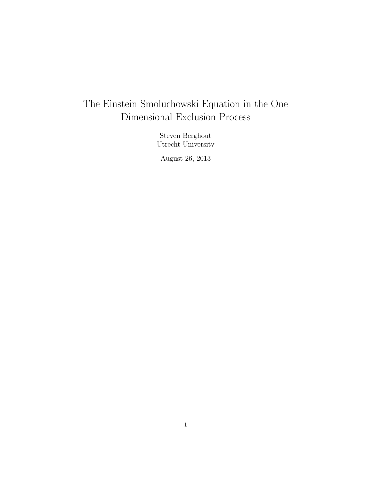# The Einstein Smoluchowski Equation in the One Dimensional Exclusion Process

Steven Berghout Utrecht University

August 26, 2013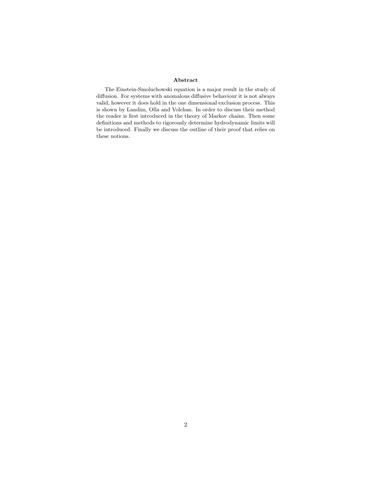#### Abstract

The Einstein-Smoluchowski equation is a major result in the study of diffusion. For systems with anomalous diffusive behaviour it is not always valid, however it does hold in the one dimensional exclusion process. This is shown by Landim, Olla and Volchan. In order to discuss their method the reader is first introduced in the theory of Markov chains. Then some definitions and methods to rigorously determine hydrodynamic limits will be introduced. Finally we discuss the outline of their proof that relies on these notions.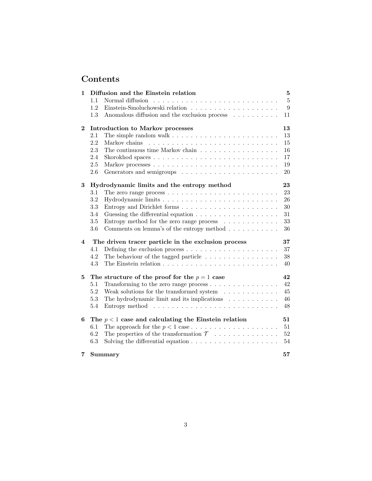# Contents

| 1        | Diffusion and the Einstein relation                                                                                                                                                                                                                                                                                                                                                                                                                                                             | $\bf{5}$       |
|----------|-------------------------------------------------------------------------------------------------------------------------------------------------------------------------------------------------------------------------------------------------------------------------------------------------------------------------------------------------------------------------------------------------------------------------------------------------------------------------------------------------|----------------|
|          | Normal diffusion<br>1.1<br>$\mathcal{L}^{(1)}\left(\mathcal{L}^{(1)}\left(\mathcal{L}^{(1)}\left(\mathcal{L}^{(1)}\left(\mathcal{L}^{(1)}\left(\mathcal{L}^{(1)}\left(\mathcal{L}^{(1)}\left(\mathcal{L}^{(1)}\left(\mathcal{L}^{(1)}\left(\mathcal{L}^{(1)}\left(\mathcal{L}^{(1)}\left(\mathcal{L}^{(1)}\right)\mathcal{L}^{(1)}\right)\right)\right)\right)\right)\right)\right)\right)\right)\right)\mathcal{L}^{(1)}\left(\mathcal{L}^{(1)}\left(\mathcal{L}^{(1)}\left(\mathcal{L}^{(1)}$ | $\overline{5}$ |
|          | 1.2                                                                                                                                                                                                                                                                                                                                                                                                                                                                                             | $9\phantom{.}$ |
|          | Anomalous diffusion and the exclusion process<br>1.3                                                                                                                                                                                                                                                                                                                                                                                                                                            | 11             |
| $\bf{2}$ | Introduction to Markov processes                                                                                                                                                                                                                                                                                                                                                                                                                                                                | 13             |
|          | 2.1<br>The simple random walk $\dots \dots \dots \dots \dots \dots \dots \dots \dots$                                                                                                                                                                                                                                                                                                                                                                                                           | 13             |
|          | 2.2                                                                                                                                                                                                                                                                                                                                                                                                                                                                                             | 15             |
|          | 2.3<br>The continuous time Markov chain $\ldots \ldots \ldots \ldots \ldots \ldots$                                                                                                                                                                                                                                                                                                                                                                                                             | 16             |
|          | 2.4                                                                                                                                                                                                                                                                                                                                                                                                                                                                                             | 17             |
|          | $2.5\,$                                                                                                                                                                                                                                                                                                                                                                                                                                                                                         | $19\,$         |
|          | 2.6                                                                                                                                                                                                                                                                                                                                                                                                                                                                                             | 20             |
| 3        | Hydrodynamic limits and the entropy method                                                                                                                                                                                                                                                                                                                                                                                                                                                      | 23             |
|          | 3.1<br>The zero range process $\ldots \ldots \ldots \ldots \ldots \ldots \ldots \ldots$                                                                                                                                                                                                                                                                                                                                                                                                         | 23             |
|          | 3.2                                                                                                                                                                                                                                                                                                                                                                                                                                                                                             | 26             |
|          | 3.3<br>Entropy and Dirichlet forms                                                                                                                                                                                                                                                                                                                                                                                                                                                              | 30             |
|          | 3.4<br>Guessing the differential equation $\ldots \ldots \ldots \ldots \ldots \ldots$                                                                                                                                                                                                                                                                                                                                                                                                           | 31             |
|          | $3.5\,$<br>Entropy method for the zero range process $\ldots \ldots \ldots \ldots$                                                                                                                                                                                                                                                                                                                                                                                                              | 33             |
|          | 3.6<br>Comments on lemma's of the entropy method $\ldots \ldots \ldots$                                                                                                                                                                                                                                                                                                                                                                                                                         | 36             |
| 4        | The driven tracer particle in the exclusion process                                                                                                                                                                                                                                                                                                                                                                                                                                             | 37             |
|          | 4.1<br>Defining the exclusion process $\dots \dots \dots \dots \dots \dots \dots$                                                                                                                                                                                                                                                                                                                                                                                                               | 37             |
|          | The behaviour of the tagged particle $\ldots \ldots \ldots \ldots \ldots$<br>4.2                                                                                                                                                                                                                                                                                                                                                                                                                | $38\,$         |
|          | 4.3                                                                                                                                                                                                                                                                                                                                                                                                                                                                                             | 40             |
| 5        | The structure of the proof for the $p = 1$ case                                                                                                                                                                                                                                                                                                                                                                                                                                                 | 42             |
|          | Transforming to the zero range process $\dots \dots \dots \dots \dots$<br>5.1                                                                                                                                                                                                                                                                                                                                                                                                                   | 42             |
|          | Weak solutions for the transformed system $\ldots \ldots \ldots$<br>5.2                                                                                                                                                                                                                                                                                                                                                                                                                         | 45             |
|          | The hydrodynamic limit and its implications $\ldots \ldots \ldots$<br>5.3                                                                                                                                                                                                                                                                                                                                                                                                                       | 46             |
|          | 5.4<br>Entropy method $\ldots \ldots \ldots \ldots \ldots \ldots \ldots \ldots \ldots$                                                                                                                                                                                                                                                                                                                                                                                                          | 48             |
| 6        | The $p < 1$ case and calculating the Einstein relation                                                                                                                                                                                                                                                                                                                                                                                                                                          | 51             |
|          | 6.1                                                                                                                                                                                                                                                                                                                                                                                                                                                                                             | 51             |
|          | 6.2<br>The properties of the transformation $\mathcal{T} \dots \dots \dots \dots$                                                                                                                                                                                                                                                                                                                                                                                                               | 52             |
|          | 6.3<br>Solving the differential equation $\ldots \ldots \ldots \ldots \ldots \ldots$                                                                                                                                                                                                                                                                                                                                                                                                            | 54             |
| 7        | Summary                                                                                                                                                                                                                                                                                                                                                                                                                                                                                         | 57             |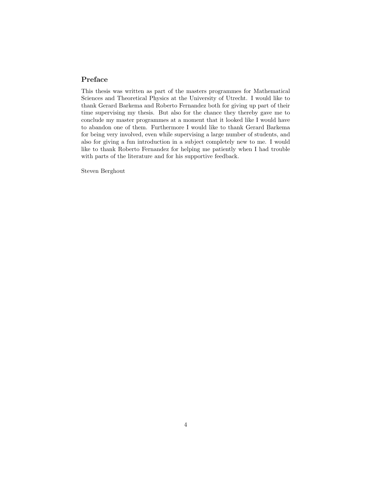#### Preface

This thesis was written as part of the masters programmes for Mathematical Sciences and Theoretical Physics at the University of Utrecht. I would like to thank Gerard Barkema and Roberto Fernandez both for giving up part of their time supervising my thesis. But also for the chance they thereby gave me to conclude my master programmes at a moment that it looked like I would have to abandon one of them. Furthermore I would like to thank Gerard Barkema for being very involved, even while supervising a large number of students, and also for giving a fun introduction in a subject completely new to me. I would like to thank Roberto Fernandez for helping me patiently when I had trouble with parts of the literature and for his supportive feedback.

Steven Berghout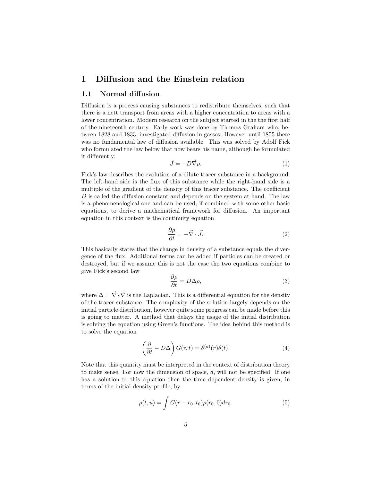## 1 Diffusion and the Einstein relation

#### 1.1 Normal diffusion

Diffusion is a process causing substances to redistribute themselves, such that there is a nett transport from areas with a higher concentration to areas with a lower concentration. Modern research on the subject started in the the first half of the nineteenth century. Early work was done by Thomas Graham who, between 1828 and 1833, investigated diffusion in gasses. However until 1855 there was no fundamental law of diffusion available. This was solved by Adolf Fick who formulated the law below that now bears his name, although he formulated it differently:

$$
\vec{J} = -D\vec{\nabla}\rho. \tag{1}
$$

Fick's law describes the evolution of a dilute tracer substance in a background. The left-hand side is the flux of this substance while the right-hand side is a multiple of the gradient of the density of this tracer substance. The coefficient  $D$  is called the diffusion constant and depends on the system at hand. The law is a phenomenological one and can be used, if combined with some other basic equations, to derive a mathematical framework for diffusion. An important equation in this context is the continuity equation

$$
\frac{\partial \rho}{\partial t} = -\vec{\nabla} \cdot \vec{J}.
$$
 (2)

This basically states that the change in density of a substance equals the divergence of the flux. Additional terms can be added if particles can be created or destroyed, but if we assume this is not the case the two equations combine to give Fick's second law

$$
\frac{\partial \rho}{\partial t} = D\Delta \rho,\tag{3}
$$

where  $\Delta = \vec{\nabla} \cdot \vec{\nabla}$  is the Laplacian. This is a differential equation for the density of the tracer substance. The complexity of the solution largely depends on the initial particle distribution, however quite some progress can be made before this is going to matter. A method that delays the usage of the initial distribution is solving the equation using Green's functions. The idea behind this method is to solve the equation

$$
\left(\frac{\partial}{\partial t} - D\Delta\right)G(r, t) = \delta^{(d)}(r)\delta(t). \tag{4}
$$

Note that this quantity must be interpreted in the context of distribution theory to make sense. For now the dimension of space,  $d$ , will not be specified. If one has a solution to this equation then the time dependent density is given, in terms of the initial density profile, by

$$
\rho(t, u) = \int G(r - r_0, t_0) \rho(r_0, 0) dr_0.
$$
\n(5)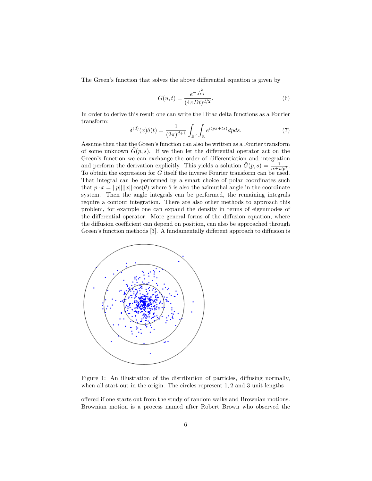The Green's function that solves the above differential equation is given by

$$
G(u,t) = \frac{e^{-\frac{\tau^2}{4Dt}}}{(4\pi Dt)^{d/2}}.
$$
\n(6)

In order to derive this result one can write the Dirac delta functions as a Fourier transform:

$$
\delta^{(d)}(x)\delta(t) = \frac{1}{(2\pi)^{d+1}} \int_{\mathbb{R}^d} \int_{\mathbb{R}} e^{i(px+ts)} dp ds.
$$
 (7)

Assume then that the Green's function can also be written as a Fourier transform of some unknown  $G(p, s)$ . If we then let the differential operator act on the Green's function we can exchange the order of differentiation and integration and perform the derivation explicitly. This yields a solution  $\tilde{G}(p, s) = \frac{1}{is + Dp^2}$ . To obtain the expression for G itself the inverse Fourier transform can be used. That integral can be performed by a smart choice of polar coordinates such that  $p \cdot x = ||p|| ||x|| \cos(\theta)$  where  $\theta$  is also the azimuthal angle in the coordinate system. Then the angle integrals can be performed, the remaining integrals require a contour integration. There are also other methods to approach this problem, for example one can expand the density in terms of eigenmodes of the differential operator. More general forms of the diffusion equation, where the diffusion coefficient can depend on position, can also be approached through Green's function methods [3]. A fundamentally different approach to diffusion is



Figure 1: An illustration of the distribution of particles, diffusing normally, when all start out in the origin. The circles represent 1, 2 and 3 unit lengths

offered if one starts out from the study of random walks and Brownian motions. Brownian motion is a process named after Robert Brown who observed the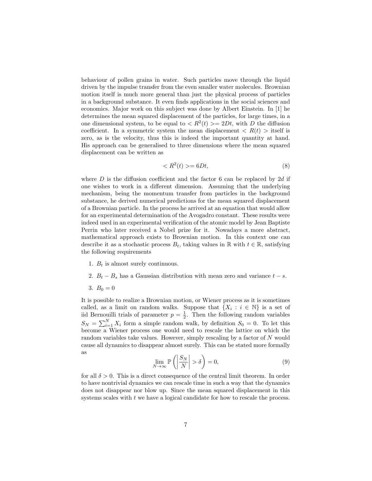behaviour of pollen grains in water. Such particles move through the liquid driven by the impulse transfer from the even smaller water molecules. Brownian motion itself is much more general than just the physical process of particles in a background substance. It even finds applications in the social sciences and economics. Major work on this subject was done by Albert Einstein. In [1] he determines the mean squared displacement of the particles, for large times, in a one dimensional system, to be equal to  $\langle R^2(t) \rangle = 2Dt$ , with D the diffusion coefficient. In a symmetric system the mean displacement  $\langle R(t) \rangle$  itself is zero, as is the velocity, thus this is indeed the important quantity at hand. His approach can be generalised to three dimensions where the mean squared displacement can be written as

$$
\langle R^2(t) \rangle = 6Dt,\tag{8}
$$

where  $D$  is the diffusion coefficient and the factor 6 can be replaced by 2d if one wishes to work in a different dimension. Assuming that the underlying mechanism, being the momentum transfer from particles in the background substance, he derived numerical predictions for the mean squared displacement of a Brownian particle. In the process he arrived at an equation that would allow for an experimental determination of the Avogadro constant. These results were indeed used in an experimental verification of the atomic model by Jean Baptiste Perrin who later received a Nobel prize for it. Nowadays a more abstract, mathematical approach exists to Brownian motion. In this context one can describe it as a stochastic process  $B_t$ , taking values in R with  $t \in \mathbb{R}$ , satisfying the following requirements

- 1.  $B_t$  is almost surely continuous.
- 2.  $B_t B_s$  has a Gaussian distribution with mean zero and variance  $t s$ .

3.  $B_0 = 0$ 

It is possible to realize a Brownian motion, or Wiener process as it is sometimes called, as a limit on random walks. Suppose that  $\{X_i : i \in \mathbb{N}\}\$ is a set of iid Bernouilli trials of parameter  $p = \frac{1}{2}$ . Then the following random variables  $S_N = \sum_{i=1}^N X_i$  form a simple random walk, by definition  $S_0 = 0$ . To let this become a Wiener process one would need to rescale the lattice on which the random variables take values. However, simply rescaling by a factor of N would cause all dynamics to disappear almost surely. This can be stated more formally as

$$
\lim_{N \to \infty} \mathbb{P}\left( \left| \frac{S_N}{N} \right| > \delta \right) = 0,\tag{9}
$$

for all  $\delta > 0$ . This is a direct consequence of the central limit theorem. In order to have nontrivial dynamics we can rescale time in such a way that the dynamics does not disappear nor blow up. Since the mean squared displacement in this systems scales with t we have a logical candidate for how to rescale the process.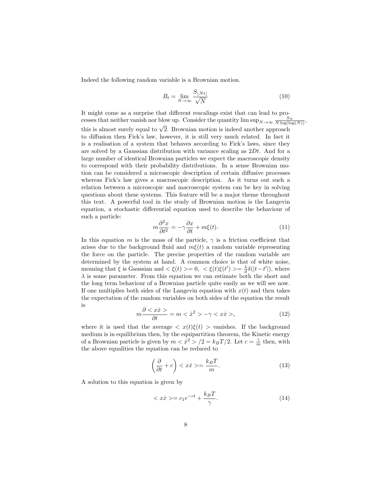Indeed the following random variable is a Brownian motion.

$$
B_t = \lim_{N \to \infty} \frac{S_{\lfloor Nt \rfloor}}{\sqrt{N}} \tag{10}
$$

It might come as a surprise that different rescalings exist that can lead to processes that neither vanish nor blow up. Consider the quantity  $\limsup_{N\to\infty} \frac{S_N}{N \log(\log(N))}$ , this is almost surely equal to  $\sqrt{2}$ . Brownian motion is indeed another approach to diffusion then Fick's law, however, it is still very much related. In fact it is a realisation of a system that behaves according to Fick's laws, since they are solved by a Gaussian distribution with variance scaling as  $2Dt$ . And for a large number of identical Brownian particles we expect the macroscopic density to correspond with their probability distributions. In a sense Brownian motion can be considered a microscopic description of certain diffusive processes whereas Fick's law gives a macroscopic description. As it turns out such a relation between a microscopic and macroscopic system can be key in solving questions about these systems. This feature will be a major theme throughout this text. A powerful tool in the study of Brownian motion is the Langevin equation, a stochastic differential equation used to describe the behaviour of such a particle:

$$
m\frac{\partial^2 x}{\partial t^2} = -\gamma \frac{\partial x}{\partial t} + m\xi(t). \tag{11}
$$

In this equation m is the mass of the particle,  $\gamma$  is a friction coefficient that arises due to the background fluid and  $m\xi(t)$  a random variable representing the force on the particle. The precise properties of the random variable are determined by the system at hand. A common choice is that of white noise, meaning that  $\xi$  is Gaussian and  $\langle \xi(t) \rangle = 0$ ,  $\langle \xi(t)\xi(t') \rangle = \frac{\lambda}{d} \delta(|t-t'|)$ , where  $\lambda$  is some parameter. From this equation we can estimate both the short and the long term behaviour of a Brownian particle quite easily as we will see now. If one multiplies both sides of the Langevin equation with  $x(t)$  and then takes the expectation of the random variables on both sides of the equation the result is

$$
m\frac{\partial \langle x\dot{x}\rangle}{\partial t} = m \langle \dot{x}^2 \rangle - \gamma \langle x\dot{x}\rangle, \tag{12}
$$

where it is used that the average  $\langle x(t)\xi(t)\rangle$  vanishes. If the background medium is in equilibrium then, by the equipartition theorem, the Kinetic energy of a Brownian particle is given by  $m < \dot{x}^2 > /2 = k_B T/2$ . Let  $c = \frac{\gamma}{m}$  then, with the above equalities the equation can be reduced to

$$
\left(\frac{\partial}{\partial t} + c\right) < x\dot{x} > = \frac{k_B T}{m}.\tag{13}
$$

A solution to this equation is given by

$$
\langle x\dot{x}\rangle = c_1 e^{-ct} + \frac{k_B T}{\gamma}.\tag{14}
$$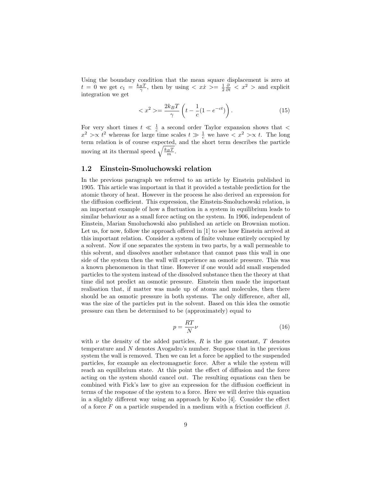Using the boundary condition that the mean square displacement is zero at  $t = 0$  we get  $c_1 = \frac{k_B T}{\gamma}$ , then by using  $\langle x \cdot \hat{x} \rangle = \frac{1}{2} \frac{\partial}{\partial t} \langle x^2 \rangle$  and explicit integration we get

$$
\langle x^2 \rangle = \frac{2k_B T}{\gamma} \left( t - \frac{1}{c} (1 - e^{-ct}) \right). \tag{15}
$$

For very short times  $t \ll \frac{1}{c}$  a second order Taylor expansion shows that  $\lt$  $x^2 > \propto t^2$  whereas for large time scales  $t \gg \frac{1}{c}$  we have  $\lt x^2 > \propto t$ . The long term relation is of course expected, and the short term describes the particle moving at its thermal speed  $\sqrt{\frac{k_B T}{m}}$ .

#### 1.2 Einstein-Smoluchowski relation

In the previous paragraph we referred to an article by Einstein published in 1905. This article was important in that it provided a testable prediction for the atomic theory of heat. However in the process he also derived an expression for the diffusion coefficient. This expression, the Einstein-Smoluchowski relation, is an important example of how a fluctuation in a system in equilibrium leads to similar behaviour as a small force acting on the system. In 1906, independent of Einstein, Marian Smoluchowski also published an article on Brownian motion. Let us, for now, follow the approach offered in [1] to see how Einstein arrived at this important relation. Consider a system of finite volume entirely occupied by a solvent. Now if one separates the system in two parts, by a wall permeable to this solvent, and dissolves another substance that cannot pass this wall in one side of the system then the wall will experience an osmotic pressure. This was a known phenomenon in that time. However if one would add small suspended particles to the system instead of the dissolved substance then the theory at that time did not predict an osmotic pressure. Einstein then made the important realisation that, if matter was made up of atoms and molecules, then there should be an osmotic pressure in both systems. The only difference, after all, was the size of the particles put in the solvent. Based on this idea the osmotic pressure can then be determined to be (approximately) equal to

$$
p = \frac{RT}{N}\nu\tag{16}
$$

with  $\nu$  the density of the added particles, R is the gas constant, T denotes temperature and N denotes Avogadro's number. Suppose that in the previous system the wall is removed. Then we can let a force be applied to the suspended particles, for example an electromagnetic force. After a while the system will reach an equilibrium state. At this point the effect of diffusion and the force acting on the system should cancel out. The resulting equations can then be combined with Fick's law to give an expression for the diffusion coefficient in terms of the response of the system to a force. Here we will derive this equation in a slightly different way using an approach by Kubo [4]. Consider the effect of a force  $F$  on a particle suspended in a medium with a friction coefficient  $\beta$ .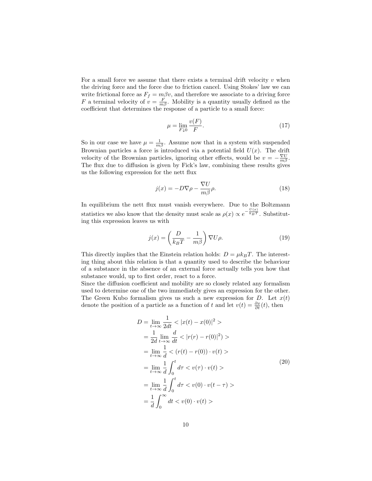For a small force we assume that there exists a terminal drift velocity  $v$  when the driving force and the force due to friction cancel. Using Stokes' law we can write frictional force as  $F_f = m\beta v$ , and therefore we associate to a driving force F a terminal velocity of  $v = \frac{F}{m\beta}$ . Mobility is a quantity usually defined as the coefficient that determines the response of a particle to a small force:

$$
\mu = \lim_{F \downarrow 0} \frac{v(F)}{F}.\tag{17}
$$

So in our case we have  $\mu = \frac{1}{m\beta}$ . Assume now that in a system with suspended Brownian particles a force is introduced via a potential field  $U(x)$ . The drift velocity of the Brownian particles, ignoring other effects, would be  $v = -\frac{\nabla U}{m\beta}$ . The flux due to diffusion is given by Fick's law, combining these results gives us the following expression for the nett flux

$$
j(x) = -D\nabla \rho - \frac{\nabla U}{m\beta}\rho.
$$
 (18)

In equilibrium the nett flux must vanish everywhere. Due to the Boltzmann statistics we also know that the density must scale as  $\rho(x) \propto e^{-\frac{U(x)}{k_B T}}$ . Substituting this expression leaves us with

$$
j(x) = \left(\frac{D}{k_B T} - \frac{1}{m\beta}\right) \nabla U \rho.
$$
 (19)

This directly implies that the Einstein relation holds:  $D = \mu k_B T$ . The interesting thing about this relation is that a quantity used to describe the behaviour of a substance in the absence of an external force actually tells you how that substance would, up to first order, react to a force.

Since the diffusion coefficient and mobility are so closely related any formalism used to determine one of the two immediately gives an expression for the other. The Green Kubo formalism gives us such a new expression for D. Let  $x(t)$ denote the position of a particle as a function of t and let  $v(t) = \frac{\partial x}{\partial t}(t)$ , then

$$
D = \lim_{t \to \infty} \frac{1}{2dt} < |x(t) - x(0)|^2 > \\
= \frac{1}{2d} \lim_{t \to \infty} \frac{d}{dt} < |r(r) - r(0)|^2) > \\
= \lim_{t \to \infty} \frac{1}{d} < (r(t) - r(0)) \cdot v(t) > \\
= \lim_{t \to \infty} \frac{1}{d} \int_0^t d\tau < v(\tau) \cdot v(t) > \\
= \lim_{t \to \infty} \frac{1}{d} \int_0^t d\tau < v(0) \cdot v(t - \tau) > \\
= \frac{1}{d} \int_0^\infty dt < v(0) \cdot v(t) > \n\end{math}
$$
\n(20)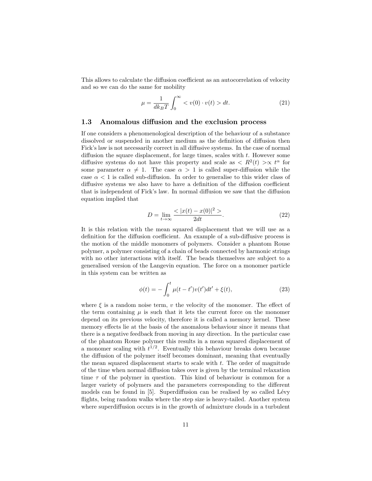This allows to calculate the diffusion coefficient as an autocorrelation of velocity and so we can do the same for mobility

$$
\mu = \frac{1}{dk_B T} \int_0^\infty \langle v(0) \cdot v(t) \rangle dt. \tag{21}
$$

#### 1.3 Anomalous diffusion and the exclusion process

If one considers a phenomenological description of the behaviour of a substance dissolved or suspended in another medium as the definition of diffusion then Fick's law is not necessarily correct in all diffusive systems. In the case of normal diffusion the square displacement, for large times, scales with  $t$ . However some diffusive systems do not have this property and scale as  $\langle R^2(t) \rangle \propto t^{\alpha}$  for some parameter  $\alpha \neq 1$ . The case  $\alpha > 1$  is called super-diffusion while the case  $\alpha$  < 1 is called sub-diffusion. In order to generalise to this wider class of diffusive systems we also have to have a definition of the diffusion coefficient that is independent of Fick's law. In normal diffusion we saw that the diffusion equation implied that

$$
D = \lim_{t \to \infty} \frac{<|x(t) - x(0)|^2>}{2dt}.
$$
 (22)

It is this relation with the mean squared displacement that we will use as a definition for the diffusion coefficient. An example of a sub-diffusive process is the motion of the middle monomers of polymers. Consider a phantom Rouse polymer, a polymer consisting of a chain of beads connected by harmonic strings with no other interactions with itself. The beads themselves are subject to a generalised version of the Langevin equation. The force on a monomer particle in this system can be written as

$$
\phi(t) = -\int_0^t \mu(t - t')v(t')dt' + \xi(t),
$$
\n(23)

where  $\xi$  is a random noise term, v the velocity of the monomer. The effect of the term containing  $\mu$  is such that it lets the current force on the monomer depend on its previous velocity, therefore it is called a memory kernel. These memory effects lie at the basis of the anomalous behaviour since it means that there is a negative feedback from moving in any direction. In the particular case of the phantom Rouse polymer this results in a mean squared displacement of a monomer scaling with  $t^{1/2}$ . Eventually this behaviour breaks down because the diffusion of the polymer itself becomes dominant, meaning that eventually the mean squared displacement starts to scale with  $t$ . The order of magnitude of the time when normal diffusion takes over is given by the terminal relaxation time  $\tau$  of the polymer in question. This kind of behaviour is common for a larger variety of polymers and the parameters corresponding to the different models can be found in  $[5]$ . Superdiffusion can be realised by so called Lévy flights, being random walks where the step size is heavy-tailed. Another system where superdiffusion occurs is in the growth of admixture clouds in a turbulent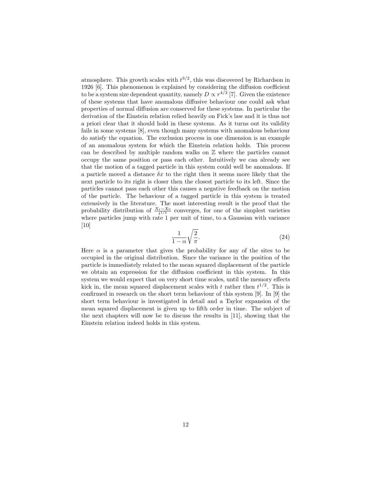atmosphere. This growth scales with  $t^{3/2}$ , this was discovered by Richardson in 1926 [6]. This phenomenon is explained by considering the diffusion coefficient to be a system size dependent quantity, namely  $D \propto r^{4/3}$  [7]. Given the existence of these systems that have anomalous diffusive behaviour one could ask what properties of normal diffusion are conserved for these systems. In particular the derivation of the Einstein relation relied heavily on Fick's law and it is thus not a priori clear that it should hold in these systems. As it turns out its validity fails in some systems [8], even though many systems with anomalous behaviour do satisfy the equation. The exclusion process in one dimension is an example of an anomalous system for which the Einstein relation holds. This process can be described by multiple random walks on Z where the particles cannot occupy the same position or pass each other. Intuitively we can already see that the motion of a tagged particle in this system could well be anomalous. If a particle moved a distance  $\delta x$  to the right then it seems more likely that the next particle to its right is closer then the closest particle to its left. Since the particles cannot pass each other this causes a negative feedback on the motion of the particle. The behaviour of a tagged particle in this system is treated extensively in the literature. The most interesting result is the proof that the probability distribution of  $\frac{X_t - X_0}{t^{1/4}}$  converges, for one of the simplest varieties where particles jump with rate 1 per unit of time, to a Gaussian with variance [10]

$$
\frac{1}{1-\alpha}\sqrt{\frac{2}{\pi}}.\tag{24}
$$

Here  $\alpha$  is a parameter that gives the probability for any of the sites to be occupied in the original distribution. Since the variance in the position of the particle is immediately related to the mean squared displacement of the particle we obtain an expression for the diffusion coefficient in this system. In this system we would expect that on very short time scales, until the memory effects kick in, the mean squared displacement scales with t rather then  $t^{1/2}$ . This is confirmed in research on the short term behaviour of this system [9]. In [9] the short term behaviour is investigated in detail and a Taylor expansion of the mean squared displacement is given up to fifth order in time. The subject of the next chapters will now be to discuss the results in [11], showing that the Einstein relation indeed holds in this system.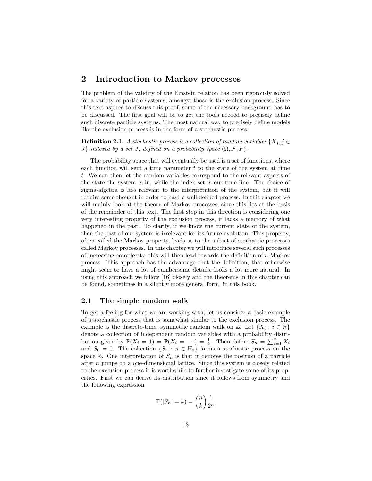## 2 Introduction to Markov processes

The problem of the validity of the Einstein relation has been rigorously solved for a variety of particle systems, amongst those is the exclusion process. Since this text aspires to discuss this proof, some of the necessary background has to be discussed. The first goal will be to get the tools needed to precisely define such discrete particle systems. The most natural way to precisely define models like the exclusion process is in the form of a stochastic process.

**Definition 2.1.** A stochastic process is a collection of random variables  $\{X_i, j \in$ J} indexed by a set J, defined on a probability space  $(\Omega, \mathcal{F}, P)$ .

The probability space that will eventually be used is a set of functions, where each function will sent a time parameter  $t$  to the state of the system at time t. We can then let the random variables correspond to the relevant aspects of the state the system is in, while the index set is our time line. The choice of sigma-algebra is less relevant to the interpretation of the system, but it will require some thought in order to have a well defined process. In this chapter we will mainly look at the theory of Markov processes, since this lies at the basis of the remainder of this text. The first step in this direction is considering one very interesting property of the exclusion process, it lacks a memory of what happened in the past. To clarify, if we know the current state of the system, then the past of our system is irrelevant for its future evolution. This property, often called the Markov property, leads us to the subset of stochastic processes called Markov processes. In this chapter we will introduce several such processes of increasing complexity, this will then lead towards the definition of a Markov process. This approach has the advantage that the definition, that otherwise might seem to have a lot of cumbersome details, looks a lot more natural. In using this approach we follow [16] closely and the theorems in this chapter can be found, sometimes in a slightly more general form, in this book.

#### 2.1 The simple random walk

To get a feeling for what we are working with, let us consider a basic example of a stochastic process that is somewhat similar to the exclusion process. The example is the discrete-time, symmetric random walk on  $\mathbb{Z}$ . Let  $\{X_i : i \in \mathbb{N}\}\$ denote a collection of independent random variables with a probability distribution given by  $\mathbb{P}(X_i = 1) = \mathbb{P}(X_i = -1) = \frac{1}{2}$ . Then define  $S_n = \sum_{i=1}^n X_i$ and  $S_0 = 0$ . The collection  $\{S_n : n \in \mathbb{N}_0\}$  forms a stochastic process on the space  $\mathbb{Z}$ . One interpretation of  $S_n$  is that it denotes the position of a particle after n jumps on a one-dimensional lattice. Since this system is closely related to the exclusion process it is worthwhile to further investigate some of its properties. First we can derive its distribution since it follows from symmetry and the following expression

$$
\mathbb{P}(|S_n| = k) = \binom{n}{k} \frac{1}{2^n}
$$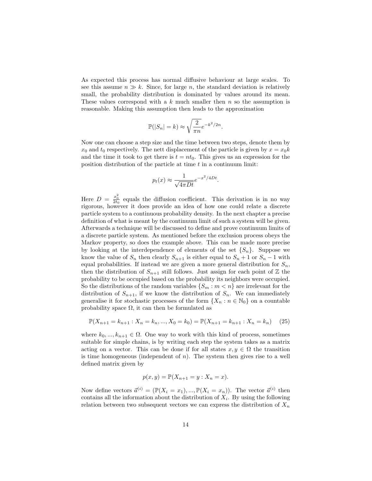As expected this process has normal diffusive behaviour at large scales. To see this assume  $n \gg k$ . Since, for large n, the standard deviation is relatively small, the probability distribution is dominated by values around its mean. These values correspond with a  $k$  much smaller then  $n$  so the assumption is reasonable. Making this assumption then leads to the approximation

$$
\mathbb{P}(|S_n| = k) \approx \sqrt{\frac{2}{\pi n}} e^{-k^2/2n}.
$$

Now one can choose a step size and the time between two steps, denote them by  $x_0$  and  $t_0$  respectively. The nett displacement of the particle is given by  $x = x_0k$ and the time it took to get there is  $t = nt_0$ . This gives us an expression for the position distribution of the particle at time  $t$  in a continuum limit:

$$
p_t(x) \approx \frac{1}{\sqrt{4\pi Dt}} e^{-x^2/4Dt}
$$

.

Here  $D = \frac{x_0^2}{2t_0}$  equals the diffusion coefficient. This derivation is in no way rigorous, however it does provide an idea of how one could relate a discrete particle system to a continuous probability density. In the next chapter a precise definition of what is meant by the continuum limit of such a system will be given. Afterwards a technique will be discussed to define and prove continuum limits of a discrete particle system. As mentioned before the exclusion process obeys the Markov property, so does the example above. This can be made more precise by looking at the interdependence of elements of the set  $\{S_n\}$ . Suppose we know the value of  $S_n$  then clearly  $S_{n+1}$  is either equal to  $S_n + 1$  or  $S_n - 1$  with equal probabilities. If instead we are given a more general distribution for  $S_n$ , then the distribution of  $S_{n+1}$  still follows. Just assign for each point of Z the probability to be occupied based on the probability its neighbors were occupied. So the distributions of the random variables  $\{S_m : m < n\}$  are irrelevant for the distribution of  $S_{n+1}$ , if we know the distribution of  $S_n$ . We can immediately generalise it for stochastic processes of the form  $\{X_n : n \in \mathbb{N}_0\}$  on a countable probability space  $\Omega$ , it can then be formulated as

$$
\mathbb{P}(X_{n+1} = k_{n+1} : X_n = k_n, ..., X_0 = k_0) = \mathbb{P}(X_{n+1} = k_{n+1} : X_n = k_n)
$$
 (25)

where  $k_0, ..., k_{n+1} \in \Omega$ . One way to work with this kind of process, sometimes suitable for simple chains, is by writing each step the system takes as a matrix acting on a vector. This can be done if for all states  $x, y \in \Omega$  the transition is time homogeneous (independent of  $n$ ). The system then gives rise to a well defined matrix given by

$$
p(x, y) = \mathbb{P}(X_{n+1} = y : X_n = x).
$$

Now define vectors  $\vec{a}^{(i)} = (\mathbb{P}(X_i = x_1), ..., \mathbb{P}(X_i = x_n)).$  The vector  $\vec{a}^{(i)}$  then contains all the information about the distribution of  $X_i$ . By using the following relation between two subsequent vectors we can express the distribution of  $X_n$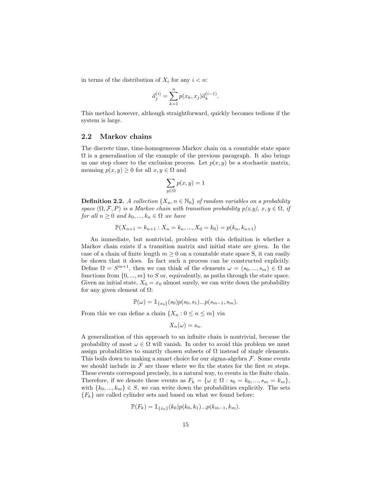in terms of the distribution of  $X_i$  for any  $i < n$ :

$$
\vec{a}_j^{(i)} = \sum_{k=1}^n p(x_k, x_j) \vec{a}_k^{(i-1)}.
$$

This method however, although straightforward, quickly becomes tedious if the system is large.

#### 2.2 Markov chains

The discrete time, time-homogeneous Markov chain on a countable state space  $\Omega$  is a generalisation of the example of the previous paragraph. It also brings us one step closer to the exclusion process. Let  $p(x, y)$  be a stochastic matrix, meaning  $p(x, y) \geq 0$  for all  $x, y \in \Omega$  and

$$
\sum_{y\in \Omega} p(x,y)=1
$$

**Definition 2.2.** A collection  $\{X_n, n \in \mathbb{N}_0\}$  of random variables on a probability space  $(\Omega, \mathcal{F}, P)$  is a Markov chain with transition probability  $p(x, y)$ ,  $x, y \in \Omega$ , if for all  $n \geq 0$  and  $k_0, ..., k_n \in \Omega$  we have

$$
\mathbb{P}(X_{n+1} = k_{n+1} : X_n = k_n, ..., X_0 = k_0) = p(k_n, k_{n+1})
$$

An immediate, but nontrivial, problem with this definition is whether a Markov chain exists if a transition matrix and initial state are given. In the case of a chain of finite length  $m \geq 0$  on a countable state space S, it can easily be shown that it does. In fact such a process can be constructed explicitly. Define  $\Omega = S^{m+1}$ , then we can think of the elements  $\omega = (s_0, ..., s_m) \in \Omega$  as functions from  $\{0, ..., m\}$  to S or, equivalently, as paths through the state space. Given an initial state,  $X_0 = x_0$  almost surely, we can write down the probability for any given element of  $\Omega$ :

$$
\mathbb{P}(\omega) = \mathbb{1}_{\{x_0\}}(s_0) p(s_0, s_1) \dots p(s_{m-1}, s_m).
$$

From this we can define a chain  $\{X_n: 0 \leq n \leq m\}$  via

$$
X_n(\omega) = s_n.
$$

A generalization of this approach to an infinite chain is nontrivial, because the probability of most  $\omega \in \Omega$  will vanish. In order to avoid this problem we must assign probabilities to smartly chosen subsets of  $\Omega$  instead of single elements. This boils down to making a smart choice for our sigma-algebra  $\mathcal F$ . Some events we should include in  $\mathcal F$  are those where we fix the states for the first m steps. These events correspond precisely, in a natural way, to events in the finite chain. Therefore, if we denote these events as  $F_k = \{ \omega \in \Omega : s_0 = k_0, ..., s_m = k_m \},\$ with  $\{k_0, ..., k_m\} \in S$ , we can write down the probabilities explicitly. The sets  ${F_k}$  are called cylinder sets and based on what we found before:

$$
\mathbb{P}(F_k) = \mathbb{1}_{\{x_0\}}(k_0)p(k_0, k_1)...p(k_{m-1}, k_m).
$$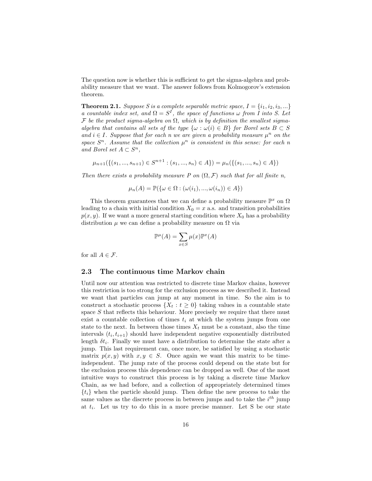The question now is whether this is sufficient to get the sigma-algebra and probability measure that we want. The answer follows from Kolmogorov's extension theorem.

**Theorem 2.1.** Suppose S is a complete separable metric space,  $I = \{i_1, i_2, i_3, ...\}$ a countable index set, and  $\Omega = S^I$ , the space of functions  $\omega$  from I into S. Let F be the product sigma-algebra on  $\Omega$ , which is by definition the smallest sigmaalgebra that contains all sets of the type  $\{\omega : \omega(i) \in B\}$  for Borel sets  $B \subset S$ and  $i \in I$ . Suppose that for each n we are given a probability measure  $\mu^n$  on the space  $S<sup>n</sup>$ . Assume that the collection  $\mu<sup>n</sup>$  is consistent in this sense: for each n and Borel set  $A \subset S^n$ ,

$$
\mu_{n+1}(\{(s_1, ..., s_{n+1}) \in S^{n+1} : (s_1, ..., s_n) \in A\}) = \mu_n(\{(s_1, ..., s_n) \in A\})
$$

Then there exists a probability measure P on  $(\Omega, \mathcal{F})$  such that for all finite n,

$$
\mu_n(A) = \mathbb{P}(\{\omega \in \Omega : (\omega(i_1), ..., \omega(i_n)) \in A\})
$$

This theorem guarantees that we can define a probability measure  $\mathbb{P}^x$  on  $\Omega$ leading to a chain with initial condition  $X_0 = x$  a.s. and transition probabilities  $p(x, y)$ . If we want a more general starting condition where  $X_0$  has a probability distribution  $\mu$  we can define a probability measure on  $\Omega$  via

$$
\mathbb{P}^{\mu}(A) = \sum_{x \in S} \mu(x) \mathbb{P}^x(A)
$$

for all  $A \in \mathcal{F}$ .

#### 2.3 The continuous time Markov chain

Until now our attention was restricted to discrete time Markov chains, however this restriction is too strong for the exclusion process as we described it. Instead we want that particles can jump at any moment in time. So the aim is to construct a stochastic process  $\{X_t : t \geq 0\}$  taking values in a countable state space S that reflects this behaviour. More precisely we require that there must exist a countable collection of times  $t_i$  at which the system jumps from one state to the next. In between those times  $X_t$  must be a constant, also the time intervals  $(t_i, t_{i+1})$  should have independent negative exponentially distributed length  $\delta t_i$ . Finally we must have a distribution to determine the state after a jump. This last requirement can, once more, be satisfied by using a stochastic matrix  $p(x, y)$  with  $x, y \in S$ . Once again we want this matrix to be timeindependent. The jump rate of the process could depend on the state but for the exclusion process this dependence can be dropped as well. One of the most intuitive ways to construct this process is by taking a discrete time Markov Chain, as we had before, and a collection of appropriately determined times  $\{t_i\}$  when the particle should jump. Then define the new process to take the same values as the discrete process in between jumps and to take the  $i^{th}$  jump at  $t_i$ . Let us try to do this in a more precise manner. Let S be our state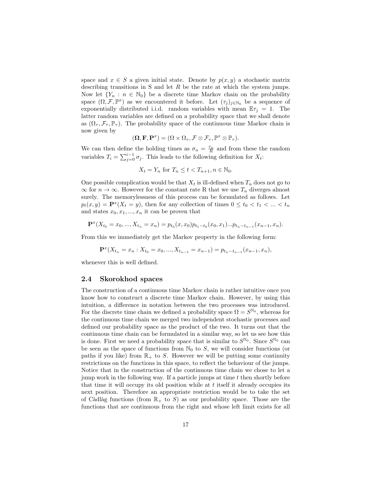space and  $x \in S$  a given initial state. Denote by  $p(x, y)$  a stochastic matrix describing transitions in S and let  $R$  be the rate at which the system jumps. Now let  ${Y_n : n \in \mathbb{N}_0}$  be a discrete time Markov chain on the probability space  $(\Omega, \mathcal{F}, \mathbb{P}^x)$  as we encountered it before. Let  $(\tau_j)_{j \in \mathbb{N}_0}$  be a sequence of exponentially distributed i.i.d. random variables with mean  $\mathbb{E}\tau_j = 1$ . The latter random variables are defined on a probability space that we shall denote as  $(\Omega_{\tau}, \mathcal{F}_{\tau}, \mathbb{P}_{\tau})$ . The probability space of the continuous time Markov chain is now given by

$$
(\mathbf{\Omega}, \mathbf{F}, \mathbf{P}^x) = (\Omega \times \Omega_\tau, \mathcal{F} \otimes \mathcal{F}_\tau, \mathbb{P}^x \otimes \mathbb{P}_\tau).
$$

We can then define the holding times as  $\sigma_n = \frac{\tau_n}{R}$  and from these the random variables  $T_i = \sum_{j=0}^{i-1} \sigma_j$ . This leads to the following definition for  $X_t$ :

$$
X_t = Y_n \text{ for } T_n \le t < T_{n+1}, n \in \mathbb{N}_0.
$$

One possible complication would be that  $X_t$  is ill-defined when  $T_n$  does not go to  $\infty$  for  $n \to \infty$ . However for the constant rate R that we use  $T_n$  diverges almost surely. The memorylessness of this process can be formulated as follows. Let  $p_t(x, y) = \mathbf{P}^x(X_t = y)$ , then for any collection of times  $0 \le t_0 < t_1 < ... < t_n$ and states  $x_0, x_1, ..., x_n$  it can be proven that

$$
\mathbf{P}^x(X_{t_0}=x_0,...,X_{t_n}=x_n)=p_{t_0}(x,x_0)p_{t_1-t_0}(x_0,x_1)...p_{t_n-t_{n-1}}(x_{n-1},x_n).
$$

From this we immediately get the Markov property in the following form:

$$
\mathbf{P}^x(X_{t_n}=x_n:X_{t_0}=x_0,...,X_{t_{n-1}}=x_{n-1})=p_{t_n-t_{n-1}}(x_{n-1},x_n),
$$

whenever this is well defined.

#### 2.4 Skorokhod spaces

The construction of a continuous time Markov chain is rather intuitive once you know how to construct a discrete time Markov chain. However, by using this intuition, a difference in notation between the two processes was introduced. For the discrete time chain we defined a probability space  $\Omega = S^{\mathbb{N}_0}$ , whereas for the continuous time chain we merged two independent stochastic processes and defined our probability space as the product of the two. It turns out that the continuous time chain can be formulated in a similar way, so let us see how this is done. First we need a probability space that is similar to  $S^{\mathbb{N}_0}$ . Since  $S^{\mathbb{N}_0}$  can be seen as the space of functions from  $\mathbb{N}_0$  to S, we will consider functions (or paths if you like) from  $\mathbb{R}_+$  to S. However we will be putting some continuity restrictions on the functions in this space, to reflect the behaviour of the jumps. Notice that in the construction of the continuous time chain we chose to let a jump work in the following way. If a particle jumps at time  $t$  then shortly before that time it will occupy its old position while at  $t$  itself it already occupies its next position. Therefore an appropriate restriction would be to take the set of Càdlàg functions (from  $\mathbb{R}_+$  to S) as our probability space. Those are the functions that are continuous from the right and whose left limit exists for all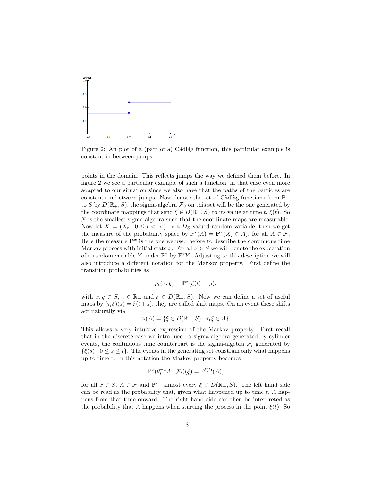

Figure 2: An plot of a (part of a) Cádlág function, this particular example is constant in between jumps

points in the domain. This reflects jumps the way we defined them before. In figure 2 we see a particular example of such a function, in that case even more adapted to our situation since we also have that the paths of the particles are constants in between jumps. Now denote the set of Càdlàg functions from  $\mathbb{R}_+$ to S by  $D(\mathbb{R}_+, S)$ , the sigma-algebra  $\mathcal{F}_S$  on this set will be the one generated by the coordinate mappings that send  $\xi \in D(\mathbb{R}_+, S)$  to its value at time t,  $\xi(t)$ . So  $\mathcal F$  is the smallest sigma-algebra such that the coordinate maps are measurable. Now let  $X = (X_t : 0 \le t < \infty)$  be a  $D_s$  valued random variable, then we get the measure of the probability space by  $\mathbb{P}^{x}(A) = \mathbf{P}^{x}(X \in A)$ , for all  $A \in \mathcal{F}$ . Here the measure  $\mathbf{P}^x$  is the one we used before to describe the continuous time Markov process with initial state x. For all  $x \in S$  we will denote the expectation of a random variable Y under  $\mathbb{P}^x$  by  $\mathbb{E}^x Y$ . Adjusting to this description we will also introduce a different notation for the Markov property. First define the transition probabilities as

$$
p_t(x, y) = \mathbb{P}^x(\xi(t) = y),
$$

with  $x, y \in S$ ,  $t \in \mathbb{R}_+$  and  $\xi \in D(\mathbb{R}_+, S)$ . Now we can define a set of useful maps by  $(\tau_t \xi)(s) = \xi(t+s)$ , they are called shift maps. On an event these shifts act naturally via

$$
\tau_t(A) = \{ \xi \in D(\mathbb{R}_+, S) : \tau_t \xi \in A \}.
$$

This allows a very intuitive expression of the Markov property. First recall that in the discrete case we introduced a sigma-algebra generated by cylinder events, the continuous time counterpart is the sigma-algebra  $\mathcal{F}_t$  generated by  $\{\xi(s): 0 \le s \le t\}$ . The events in the generating set constrain only what happens up to time t. In this notation the Markov property becomes

$$
\mathbb{P}^x(\theta_t^{-1}A:\mathcal{F}_t)(\xi) = \mathbb{P}^{\xi(t)}(A),
$$

for all  $x \in S$ ,  $A \in \mathcal{F}$  and  $\mathbb{P}^x$ -almost every  $\xi \in D(\mathbb{R}_+, S)$ . The left hand side can be read as the probability that, given what happened up to time  $t$ , A happens from that time onward. The right hand side can then be interpreted as the probability that A happens when starting the process in the point  $\xi(t)$ . So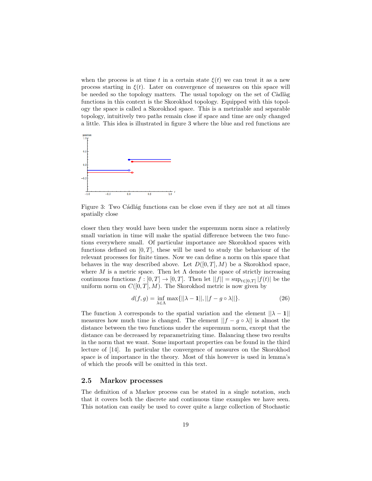when the process is at time t in a certain state  $\xi(t)$  we can treat it as a new process starting in  $\xi(t)$ . Later on convergence of measures on this space will be needed so the topology matters. The usual topology on the set of Càdlàg functions in this context is the Skorokhod topology. Equipped with this topology the space is called a Skorokhod space. This is a metrizable and separable topology, intuitively two paths remain close if space and time are only changed a little. This idea is illustrated in figure 3 where the blue and red functions are



Figure 3: Two Cádlág functions can be close even if they are not at all times spatially close

closer then they would have been under the supremum norm since a relatively small variation in time will make the spatial difference between the two functions everywhere small. Of particular importance are Skorokhod spaces with functions defined on  $[0, T]$ , these will be used to study the behaviour of the relevant processes for finite times. Now we can define a norm on this space that behaves in the way described above. Let  $D([0,T], M)$  be a Skorokhod space, where M is a metric space. Then let  $\Lambda$  denote the space of strictly increasing continuous functions  $f : [0, T] \to [0, T]$ . Then let  $||f|| = \sup_{t \in [0, T]} |f(t)|$  be the uniform norm on  $C([0, T], M)$ . The Skorokhod metric is now given by

$$
d(f,g) = \inf_{\lambda \in \Lambda} \max\{||\lambda - \mathbf{1}||, ||f - g \circ \lambda||\}.
$$
 (26)

The function  $\lambda$  corresponds to the spatial variation and the element  $||\lambda - 1||$ measures how much time is changed. The element  $||f - g \circ \lambda||$  is almost the distance between the two functions under the supremum norm, except that the distance can be decreased by reparametrizing time. Balancing these two results in the norm that we want. Some important properties can be found in the third lecture of [14]. In particular the convergence of measures on the Skorokhod space is of importance in the theory. Most of this however is used in lemma's of which the proofs will be omitted in this text.

#### 2.5 Markov processes

The definition of a Markov process can be stated in a single notation, such that it covers both the discrete and continuous time examples we have seen. This notation can easily be used to cover quite a large collection of Stochastic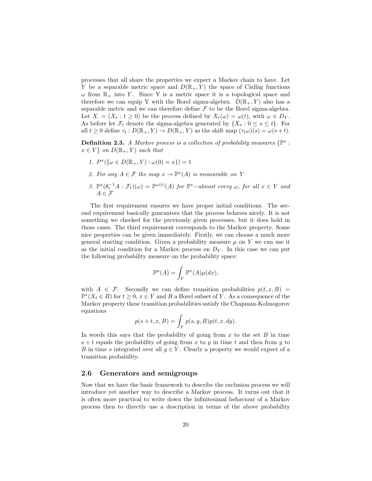processes that all share the properties we expect a Markov chain to have. Let Y be a separable metric space and  $D(\mathbb{R}_+, Y)$  the space of Càdlàg functions  $\omega$  from  $\mathbb{R}_+$  into Y. Since Y is a metric space it is a topological space and therefore we can equip Y with the Borel sigma-algebra.  $D(\mathbb{R}_+, Y)$  also has a separable metric and we can therefore define  $\mathcal F$  to be the Borel sigma-algebra. Let  $X = (X_t : t \geq 0)$  be the process defined by  $X_t(\omega) = \omega(t)$ , with  $\omega \in D_Y$ . As before let  $\mathcal{F}_t$  denote the sigma-algebra generated by  $\{X_s: 0 \le s \le t\}$ . For all  $t \geq 0$  define  $\tau_t : D(\mathbb{R}_+, Y) \to D(\mathbb{R}_+, Y)$  as the shift map  $(\tau_t \omega)(s) = \omega(s+t)$ .

**Definition 2.3.** A Markov process is a collection of probability measures  $\{\mathbb{P}^x$ :  $x \in Y$  on  $D(\mathbb{R}_+, Y)$  such that

- 1.  $P^x(\{\omega \in D(\mathbb{R}_+, Y) : \omega(0) = x\}) = 1$
- 2. For any  $A \in \mathcal{F}$  the map  $x \to \mathbb{P}^x(A)$  is measurable on Y
- 3.  $\mathbb{P}^{x}(\theta_t^{-1}A:\mathcal{F}_t)(\omega) = \mathbb{P}^{\omega(t)}(A)$  for  $\mathbb{P}^{x}-almost$  every  $\omega$ , for all  $x \in Y$  and  $A \in \mathcal{F}$

The first requirement ensures we have proper initial conditions. The second requirement basically guarantees that the process behaves nicely. It is not something we checked for the previously given processes, but it does hold in those cases. The third requirement corresponds to the Markov property. Some nice properties can be given immediately. Firstly, we can choose a much more general starting condition. Given a probability measure  $\mu$  on Y we can use it as the initial condition for a Markov process on  $D<sub>Y</sub>$ . In this case we can put the following probability measure on the probability space:

$$
\mathbb{P}^{\mu}(A) = \int_{Y} \mathbb{P}^{x}(A) \mu(dx),
$$

with  $A \in \mathcal{F}$ . Secondly we can define transition probabilities  $p(t, x, B) =$  $\mathbb{P}^{x}(X_t \in B)$  for  $t \geq 0, x \in Y$  and B a Borel subset of Y. As a consequence of the Markov property these transition probabilities satisfy the Chapman-Kolmogorov equations

$$
p(s+t, x, B) = \int_{Y} p(s, y, B)p(t, x, dy).
$$

In words this says that the probability of going from  $x$  to the set  $B$  in time  $s + t$  equals the probability of going from x to y in time t and then from y to B in time s integrated over all  $y \in Y$ . Clearly a property we would expect of a transition probability.

#### 2.6 Generators and semigroups

Now that we have the basic framework to describe the exclusion process we will introduce yet another way to describe a Markov process. It turns out that it is often more practical to write down the infinitesimal behaviour of a Markov process then to directly use a description in terms of the above probability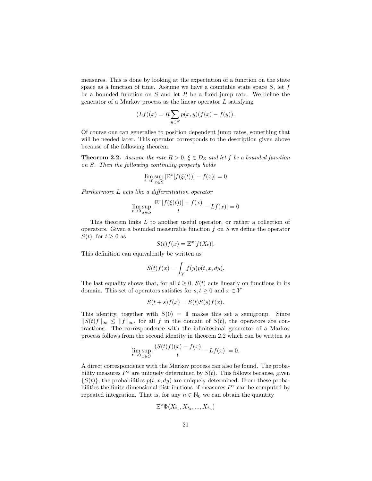measures. This is done by looking at the expectation of a function on the state space as a function of time. Assume we have a countable state space  $S$ , let  $f$ be a bounded function on  $S$  and let  $R$  be a fixed jump rate. We define the generator of a Markov process as the linear operator  $L$  satisfying

$$
(Lf)(x) = R \sum_{y \in S} p(x, y) (f(x) - f(y)).
$$

Of course one can generalise to position dependent jump rates, something that will be needed later. This operator corresponds to the description given above because of the following theorem.

**Theorem 2.2.** Assume the rate  $R > 0$ ,  $\xi \in D_S$  and let f be a bounded function on S. Then the following continuity property holds

$$
\lim_{t \to 0} \sup_{x \in S} |\mathbb{E}^x[f(\xi(t))] - f(x)| = 0
$$

Furthermore L acts like a differentiation operator

$$
\lim_{t \to 0} \sup_{x \in S} |\frac{\mathbb{E}^x[f(\xi(t))] - f(x)}{t} - Lf(x)| = 0
$$

This theorem links L to another useful operator, or rather a collection of operators. Given a bounded measurable function  $f$  on  $S$  we define the operator  $S(t)$ , for  $t \geq 0$  as

$$
S(t)f(x) = \mathbb{E}^x[f(X_t)].
$$

This definition can equivalently be written as

$$
S(t)f(x) = \int_Y f(y)p(t, x, dy).
$$

The last equality shows that, for all  $t \geq 0$ ,  $S(t)$  acts linearly on functions in its domain. This set of operators satisfies for  $s, t \geq 0$  and  $x \in Y$ 

$$
S(t+s)f(x) = S(t)S(s)f(x).
$$

This identity, together with  $S(0) = 1$  makes this set a semigroup. Since  $||S(t)f||_{\infty} \leq ||f||_{\infty}$ , for all f in the domain of  $S(t)$ , the operators are contractions. The correspondence with the infinitesimal generator of a Markov process follows from the second identity in theorem 2.2 which can be written as

$$
\lim_{t\to 0}\sup_{x\in S}|\frac{(S(t)f)(x)-f(x)}{t}-Lf(x)|=0.
$$

A direct correspondence with the Markov process can also be found. The probability measures  $P^x$  are uniquely determined by  $S(t)$ . This follows because, given  $\{S(t)\}\$ , the probabilities  $p(t, x, dy)$  are uniquely determined. From these probabilities the finite dimensional distributions of measures  $P<sup>x</sup>$  can be computed by repeated integration. That is, for any  $n \in \mathbb{N}_0$  we can obtain the quantity

$$
\mathbb{E}^x \Phi(X_{t_1}, X_{t_2}, \ldots, X_{t_n})
$$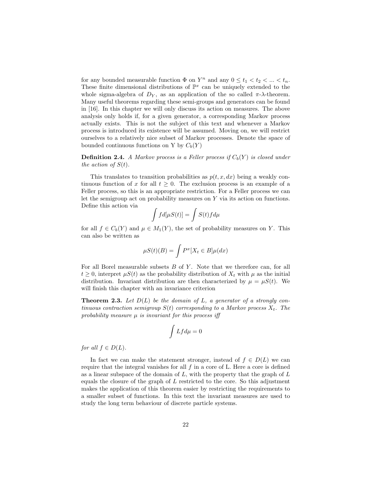for any bounded measurable function  $\Phi$  on  $Y^n$  and any  $0 \le t_1 < t_2 < \ldots < t_n$ . These finite dimensional distributions of  $\mathbb{P}^x$  can be uniquely extended to the whole sigma-algebra of  $D_Y$ , as an application of the so called  $\pi$ - $\lambda$ -theorem. Many useful theorems regarding these semi-groups and generators can be found in [16]. In this chapter we will only discuss its action on measures. The above analysis only holds if, for a given generator, a corresponding Markov process actually exists. This is not the subject of this text and whenever a Markov process is introduced its existence will be assumed. Moving on, we will restrict ourselves to a relatively nice subset of Markov processes. Denote the space of bounded continuous functions on Y by  $C_b(Y)$ 

**Definition 2.4.** A Markov process is a Feller process if  $C_b(Y)$  is closed under the action of  $S(t)$ .

This translates to transition probabilities as  $p(t, x, dx)$  being a weakly continuous function of x for all  $t \geq 0$ . The exclusion process is an example of a Feller process, so this is an appropriate restriction. For a Feller process we can let the semigroup act on probability measures on Y via its action on functions. Define this action via

$$
\int f d[\mu S(t)] = \int S(t) f d\mu
$$

for all  $f \in C_b(Y)$  and  $\mu \in M_1(Y)$ , the set of probability measures on Y. This can also be written as

$$
\mu S(t)(B) = \int P^x[X_t \in B] \mu(dx)
$$

For all Borel measurable subsets  $B$  of  $Y$ . Note that we therefore can, for all  $t \geq 0$ , interpret  $\mu S(t)$  as the probability distribution of  $X_t$  with  $\mu$  as the initial distribution. Invariant distribution are then characterized by  $\mu = \mu S(t)$ . We will finish this chapter with an invariance criterion

**Theorem 2.3.** Let  $D(L)$  be the domain of L, a generator of a strongly continuous contraction semigroup  $S(t)$  corresponding to a Markov process  $X_t$ . The probability measure  $\mu$  is invariant for this process iff

$$
\int Lfd\mu=0
$$

for all  $f \in D(L)$ .

In fact we can make the statement stronger, instead of  $f \in D(L)$  we can require that the integral vanishes for all  $f$  in a core of L. Here a core is defined as a linear subspace of the domain of  $L$ , with the property that the graph of  $L$ equals the closure of the graph of L restricted to the core. So this adjustment makes the application of this theorem easier by restricting the requirements to a smaller subset of functions. In this text the invariant measures are used to study the long term behaviour of discrete particle systems.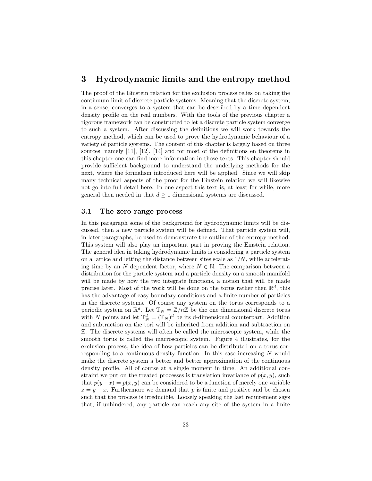## 3 Hydrodynamic limits and the entropy method

The proof of the Einstein relation for the exclusion process relies on taking the continuum limit of discrete particle systems. Meaning that the discrete system, in a sense, converges to a system that can be described by a time dependent density profile on the real numbers. With the tools of the previous chapter a rigorous framework can be constructed to let a discrete particle system converge to such a system. After discussing the definitions we will work towards the entropy method, which can be used to prove the hydrodynamic behaviour of a variety of particle systems. The content of this chapter is largely based on three sources, namely [11], [12], [14] and for most of the definitions en theorems in this chapter one can find more information in those texts. This chapter should provide sufficient background to understand the underlying methods for the next, where the formalism introduced here will be applied. Since we will skip many technical aspects of the proof for the Einstein relation we will likewise not go into full detail here. In one aspect this text is, at least for while, more general then needed in that  $d \geq 1$  dimensional systems are discussed.

#### 3.1 The zero range process

In this paragraph some of the background for hydrodynamic limits will be discussed, then a new particle system will be defined. That particle system will, in later paragraphs, be used to demonstrate the outline of the entropy method. This system will also play an important part in proving the Einstein relation. The general idea in taking hydrodynamic limits is considering a particle system on a lattice and letting the distance between sites scale as  $1/N$ , while accelerating time by an N dependent factor, where  $N \in \mathbb{N}$ . The comparison between a distribution for the particle system and a particle density on a smooth manifold will be made by how the two integrate functions, a notion that will be made precise later. Most of the work will be done on the torus rather then  $\mathbb{R}^d$ , this has the advantage of easy boundary conditions and a finite number of particles in the discrete systems. Of course any system on the torus corresponds to a periodic system on  $\mathbb{R}^d$ . Let  $\mathbb{T}_N = \mathbb{Z}/n\mathbb{Z}$  be the one dimensional discrete torus with N points and let  $\mathbb{T}_N^d = (\mathbb{T}_N)^d$  be its d-dimensional counterpart. Addition and subtraction on the tori will be inherited from addition and subtraction on Z. The discrete systems will often be called the microscopic system, while the smooth torus is called the macroscopic system. Figure 4 illustrates, for the exclusion process, the idea of how particles can be distributed on a torus corresponding to a continuous density function. In this case increasing  $N$  would make the discrete system a better and better approximation of the continuous density profile. All of course at a single moment in time. An additional constraint we put on the treated processes is translation invariance of  $p(x, y)$ , such that  $p(y-x) = p(x, y)$  can be considered to be a function of merely one variable  $z = y - x$ . Furthermore we demand that p is finite and positive and be chosen such that the process is irreducible. Loosely speaking the last requirement says that, if unhindered, any particle can reach any site of the system in a finite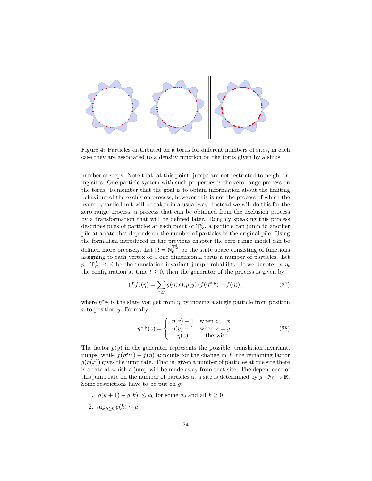

Figure 4: Particles distributed on a torus for different numbers of sites, in each case they are associated to a density function on the torus given by a sinus

number of steps. Note that, at this point, jumps are not restricted to neighboring sites. One particle system with such properties is the zero range process on the torus. Remember that the goal is to obtain information about the limiting behaviour of the exclusion process, however this is not the process of which the hydrodynamic limit will be taken in a usual way. Instead we will do this for the zero range process, a process that can be obtained from the exclusion process by a transformation that will be defined later. Roughly speaking this process describes piles of particles at each point of  $\mathbb{T}_N^d$ , a particle can jump to another pile at a rate that depends on the number of particles in the original pile. Using the formalism introduced in the previous chapter the zero range model can be defined more precisely. Let  $\Omega = \mathbb{N}_0^{\mathbb{T}_N^d}$  be the state space consisting of functions assigning to each vertex of a one dimensional torus a number of particles. Let  $p: \mathbb{T}_N^d \to \mathbb{R}$  be the translation-invariant jump probability. If we denote by  $\eta_t$ the configuration at time  $t \geq 0$ , then the generator of the process is given by

$$
(Lf)(\eta) = \sum_{x,y} g(\eta(x))p(y) (f(\eta^{x,y}) - f(\eta)), \qquad (27)
$$

where  $\eta^{x,y}$  is the state you get from  $\eta$  by moving a single particle from position  $x$  to position  $y$ . Formally:

$$
\eta^{x,y}(z) = \begin{cases} \eta(x) - 1 & \text{when } z = x \\ \eta(y) + 1 & \text{when } z = y \\ \eta(z) & \text{otherwise} \end{cases}
$$
 (28)

The factor  $p(y)$  in the generator represents the possible, translation invariant, jumps, while  $f(\eta^{x,y}) - f(\eta)$  accounts for the change in f, the remaining factor  $g(\eta(x))$  gives the jump rate. That is, given a number of particles at one site there is a rate at which a jump will be made away from that site. The dependence of this jump rate on the number of particles at a site is determined by  $g : \mathbb{N}_0 \to \mathbb{R}$ . Some restrictions have to be put on  $g$ :

- 1.  $|g(k + 1) g(k)| \le a_0$  for some  $a_0$  and all  $k \ge 0$
- 2.  $\sup_{k\geq 0} g(k) \leq a_1$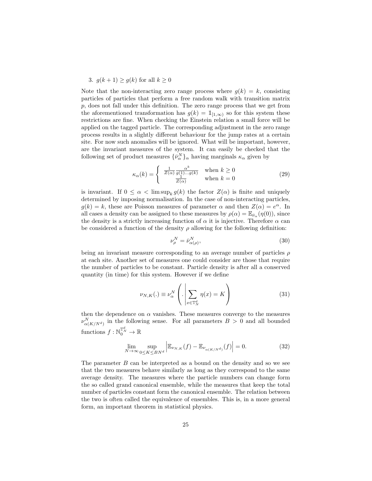#### 3.  $g(k+1) \ge g(k)$  for all  $k \ge 0$

Note that the non-interacting zero range process where  $q(k) = k$ , consisting particles of particles that perform a free random walk with transition matrix  $p$ , does not fall under this definition. The zero range process that we get from the aforementioned transformation has  $g(k) = 1_{[1,\infty)}$  so for this system these restrictions are fine. When checking the Einstein relation a small force will be applied on the tagged particle. The corresponding adjustment in the zero range process results in a slightly different behaviour for the jump rates at a certain site. For now such anomalies will be ignored. What will be important, however, are the invariant measures of the system. It can easily be checked that the following set of product measures  $\{\bar{\nu}_{\alpha}^N\}_{\alpha}$  having marginals  $\kappa_{\alpha}$  given by

$$
\kappa_{\alpha}(k) = \begin{cases} \frac{1}{Z(\alpha)} \frac{\alpha^{k}}{g(1) \dots g(k)} & \text{when } k \ge 0\\ \frac{1}{Z(\alpha)} & \text{when } k = 0 \end{cases}
$$
 (29)

is invariant. If  $0 \leq \alpha < \limsup_k g(k)$  the factor  $Z(\alpha)$  is finite and uniquely determined by imposing normalisation. In the case of non-interacting particles,  $g(k) = k$ , these are Poisson measures of parameter  $\alpha$  and then  $Z(\alpha) = e^{\alpha}$ . In all cases a density can be assigned to these measures by  $\rho(\alpha) = \mathbb{E}_{\bar{\nu}_{\alpha}}(\eta(0))$ , since the density is a strictly increasing function of  $\alpha$  it is injective. Therefore  $\alpha$  can be considered a function of the density  $\rho$  allowing for the following definition:

$$
\nu_{\rho}^{N} = \bar{\nu}_{\alpha(\rho)}^{N},\tag{30}
$$

being an invariant measure corresponding to an average number of particles  $\rho$ at each site. Another set of measures one could consider are those that require the number of particles to be constant. Particle density is after all a conserved quantity (in time) for this system. However if we define

$$
\nu_{N,K}(.) \equiv \nu_{\alpha}^N \left( . \left| \sum_{x \in \mathbb{T}_N^d} \eta(x) \right| = K \right) \tag{31}
$$

then the dependence on  $\alpha$  vanishes. These measures converge to the measures  $\nu_{\alpha(K/N^d)}^N$  in the following sense. For all parameters  $B > 0$  and all bounded functions  $f: \mathbb{N}_0^{\mathbb{T}_N^d} \to \mathbb{R}$ 

$$
\lim_{N \to \infty} \sup_{0 \le K \le B N^d} \left| \mathbb{E}_{\nu_{N,K}}(f) - \mathbb{E}_{\nu_{\alpha(K/N^d)}}(f) \right| = 0.
$$
 (32)

The parameter  $B$  can be interpreted as a bound on the density and so we see that the two measures behave similarly as long as they correspond to the same average density. The measures where the particle numbers can change form the so called grand canonical ensemble, while the measures that keep the total number of particles constant form the canonical ensemble. The relation between the two is often called the equivalence of ensembles. This is, in a more general form, an important theorem in statistical physics.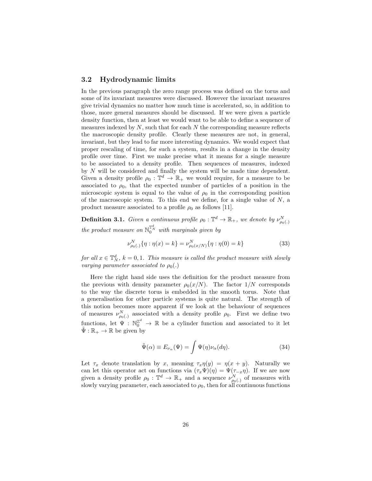#### 3.2 Hydrodynamic limits

In the previous paragraph the zero range process was defined on the torus and some of its invariant measures were discussed. However the invariant measures give trivial dynamics no matter how much time is accelerated, so, in addition to those, more general measures should be discussed. If we were given a particle density function, then at least we would want to be able to define a sequence of measures indexed by  $N$ , such that for each  $N$  the corresponding measure reflects the macroscopic density profile. Clearly these measures are not, in general, invariant, but they lead to far more interesting dynamics. We would expect that proper rescaling of time, for such a system, results in a change in the density profile over time. First we make precise what it means for a single measure to be associated to a density profile. Then sequences of measures, indexed by  $N$  will be considered and finally the system will be made time dependent. Given a density profile  $\rho_0 : \mathbb{T}^d \to \mathbb{R}_+$  we would require, for a measure to be associated to  $\rho_0$ , that the expected number of particles of a position in the microscopic system is equal to the value of  $\rho_0$  in the corresponding position of the macroscopic system. To this end we define, for a single value of  $N$ , a product measure associated to a profile  $\rho_0$  as follows [11].

**Definition 3.1.** Given a continuous profile  $\rho_0: \mathbb{T}^d \to \mathbb{R}_+$ , we denote by  $\nu_{\rho_0(.)}^N$ the product measure on  $\mathbb{N}_0^{\mathbb{T}_N^d}$  with marginals given by

$$
\nu_{\rho_0(.)}^N \{ \eta : \eta(x) = k \} = \nu_{\rho_0(x/N)}^N \{ \eta : \eta(0) = k \}
$$
 (33)

for all  $x \in \mathbb{T}_N^d$ ,  $k = 0, 1$ . This measure is called the product measure with slowly varying parameter associated to  $\rho_0(.)$ 

Here the right hand side uses the definition for the product measure from the previous with density parameter  $\rho_0(x/N)$ . The factor  $1/N$  corresponds to the way the discrete torus is embedded in the smooth torus. Note that a generalisation for other particle systems is quite natural. The strength of this notion becomes more apparent if we look at the behaviour of sequences of measures  $\nu_{\rho_0(.)}^N$  associated with a density profile  $\rho_0$ . First we define two functions, let  $\Psi : \mathbb{N}_0^{\mathbb{Z}^d} \to \mathbb{R}$  be a cylinder function and associated to it let  $\tilde{\Psi}: \mathbb{R}_+ \to \mathbb{R}$  be given by

$$
\tilde{\Psi}(\alpha) \equiv E_{\nu_{\alpha}}(\Psi) = \int \Psi(\eta) \nu_{\alpha}(d\eta). \tag{34}
$$

Let  $\tau_x$  denote translation by x, meaning  $\tau_x \eta(y) = \eta(x+y)$ . Naturally we can let this operator act on functions via  $(\tau_x\Psi)(\eta) = \Psi(\tau_{-x}\eta)$ . If we are now given a density profile  $\rho_0: \mathbb{T}^d \to \mathbb{R}_+$  and a sequence  $\nu_{\rho_0(.)}^N$  of measures with slowly varying parameter, each associated to  $\rho_0$ , then for all continuous functions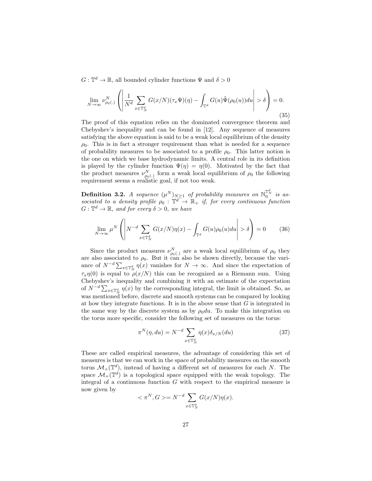$G: \mathbb{T}^d \to \mathbb{R}$ , all bounded cylinder functions  $\Psi$  and  $\delta > 0$ 

$$
\lim_{N \to \infty} \nu_{\rho_0(.)}^N \left( \left| \frac{1}{N^d} \sum_{x \in \mathbb{T}_N^d} G(x/N)(\tau_x \Psi)(\eta) - \int_{\mathbb{T}^d} G(u)\tilde{\Psi}(\rho_0(u))du \right| > \delta \right) = 0.
$$
\n(35)

The proof of this equation relies on the dominated convergence theorem and Chebyshev's inequality and can be found in [12]. Any sequence of measures satisfying the above equation is said to be a weak local equilibrium of the density  $\rho_0$ . This is in fact a stronger requirement than what is needed for a sequence of probability measures to be associated to a profile  $\rho_0$ . This latter notion is the one on which we base hydrodynamic limits. A central role in its definition is played by the cylinder function  $\Psi(\eta) = \eta(0)$ . Motivated by the fact that the product measures  $\nu_{\rho_0(.)}^N$  form a weak local equilibrium of  $\rho_0$  the following requirement seems a realistic goal, if not too weak.

**Definition 3.2.** A sequence  $(\mu^N)_{N \geq 1}$  of probability measures on  $\mathbb{N}_0^{\mathbb{T}^d_N}$  is associated to a density profile  $\rho_0 : \mathbb{T}^d \to \mathbb{R}_+$  if, for every continuous function  $G: \mathbb{T}^d \to \mathbb{R}$ , and for every  $\delta > 0$ , we have

$$
\lim_{N \to \infty} \mu^N \left( \left| N^{-d} \sum_{x \in \mathbb{T}_N^d} G(x/N) \eta(x) - \int_{\mathbb{T}^d} G(u) \rho_0(u) du \right| > \delta \right) = 0 \tag{36}
$$

Since the product measures  $\nu_{\rho_0(\cdot)}^N$  are a weak local equilibrium of  $\rho_0$  they are also associated to  $\rho_0$ . But it can also be shown directly, because the variance of  $N^{-d} \sum_{x \in \mathbb{T}_N^d} \eta(x)$  vanishes for  $N \to \infty$ . And since the expectation of  $\tau_x\eta(0)$  is equal to  $\rho(x/N)$  this can be recognized as a Riemann sum. Using Chebyshev's inequality and combining it with an estimate of the expectation of  $N^{-d} \sum_{x \in \mathbb{T}_N^d} \eta(x)$  by the corresponding integral, the limit is obtained. So, as was mentioned before, discrete and smooth systems can be compared by looking at how they integrate functions. It is in the above sense that  $G$  is integrated in the same way by the discrete system as by  $\rho_0 du$ . To make this integration on the torus more specific, consider the following set of measures on the torus:

$$
\pi^N(\eta, du) = N^{-d} \sum_{x \in \mathbb{T}_N^d} \eta(x) \delta_{x/N}(du)
$$
\n(37)

These are called empirical measures, the advantage of considering this set of measures is that we can work in the space of probability measures on the smooth torus  $\mathcal{M}_{+}(\mathbb{T}^d)$ , instead of having a different set of measures for each N. The space  $\mathcal{M}_+(\mathbb{T}^d)$  is a topological space equipped with the weak topology. The integral of a continuous function  $G$  with respect to the empirical measure is now given by

$$
\langle \pi^N, G \rangle = N^{-d} \sum_{x \in \mathbb{T}_N^d} G(x/N) \eta(x).
$$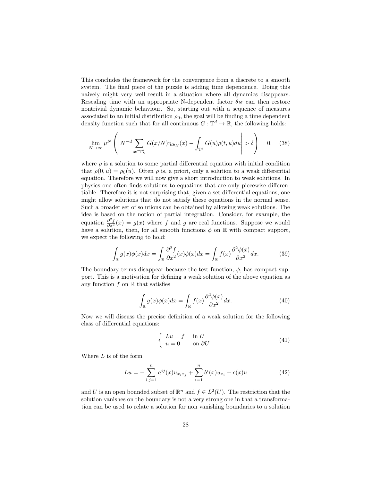This concludes the framework for the convergence from a discrete to a smooth system. The final piece of the puzzle is adding time dependence. Doing this naively might very well result in a situation where all dynamics disappears. Rescaling time with an appropriate N-dependent factor  $\theta_N$  can then restore nontrivial dynamic behaviour. So, starting out with a sequence of measures associated to an initial distribution  $\rho_0$ , the goal will be finding a time dependent density function such that for all continuous  $G: \mathbb{T}^d \to \mathbb{R}$ , the following holds:

$$
\lim_{N \to \infty} \mu^N \left( \left| N^{-d} \sum_{x \in \mathbb{T}_N^d} G(x/N) \eta_{t\theta_N}(x) - \int_{\mathbb{T}^d} G(u)\rho(t,u) du \right| > \delta \right) = 0, \quad (38)
$$

where  $\rho$  is a solution to some partial differential equation with initial condition that  $\rho(0, u) = \rho_0(u)$ . Often  $\rho$  is, a priori, only a solution to a weak differential equation. Therefore we will now give a short introduction to weak solutions. In physics one often finds solutions to equations that are only piecewise differentiable. Therefore it is not surprising that, given a set differential equations, one might allow solutions that do not satisfy these equations in the normal sense. Such a broader set of solutions can be obtained by allowing weak solutions. The idea is based on the notion of partial integration. Consider, for example, the equation  $\frac{\partial^2 f}{\partial x^2}(x) = g(x)$  where f and g are real functions. Suppose we would have a solution, then, for all smooth functions  $\phi$  on  $\mathbb R$  with compact support, we expect the following to hold:

$$
\int_{\mathbb{R}} g(x)\phi(x)dx = \int_{\mathbb{R}} \frac{\partial^2 f}{\partial x^2}(x)\phi(x)dx = \int_{\mathbb{R}} f(x)\frac{\partial^2 \phi(x)}{\partial x^2}dx.
$$
 (39)

The boundary terms disappear because the test function,  $\phi$ , has compact support. This is a motivation for defining a weak solution of the above equation as any function  $f$  on  $\mathbb R$  that satisfies

$$
\int_{\mathbb{R}} g(x)\phi(x)dx = \int_{\mathbb{R}} f(x)\frac{\partial^2 \phi(x)}{\partial x^2}dx.
$$
\n(40)

Now we will discuss the precise definition of a weak solution for the following class of differential equations:

$$
\begin{cases}\nLu = f & \text{in } U \\
u = 0 & \text{on } \partial U\n\end{cases}
$$
\n(41)

Where  $L$  is of the form

$$
Lu = -\sum_{i,j=1}^{n} a^{ij}(x)u_{x_ix_j} + \sum_{i=1}^{n} b^i(x)u_{x_i} + c(x)u
$$
 (42)

and U is an open bounded subset of  $\mathbb{R}^n$  and  $f \in L^2(U)$ . The restriction that the solution vanishes on the boundary is not a very strong one in that a transformation can be used to relate a solution for non vanishing boundaries to a solution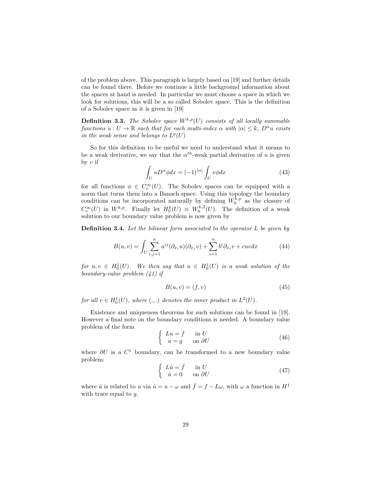of the problem above. This paragraph is largely based on [19] and further details can be found there. Before we continue a little background information about the spaces at hand is needed. In particular we must choose a space in which we look for solutions, this will be a so called Sobolev space. This is the definition of a Sobolev space as it is given in [19]

**Definition 3.3.** The Sobolev space  $W^{k,p}(U)$  consists of all locally summable functions  $u: U \to \mathbb{R}$  such that for each multi-index  $\alpha$  with  $|\alpha| \leq k$ ,  $D^{\alpha}u$  exists in the weak sense and belongs to  $L^p(U)$ 

So for this definition to be useful we need to understand what it means to be a weak derivative, we say that the  $\alpha^{th}$ -weak partial derivative of u is given by  $v$  if

$$
\int_{U} u D^{\alpha} \phi dx = (-1)^{|\alpha|} \int_{U} v \phi dx \tag{43}
$$

for all functions  $\phi \in C_c^{\infty}(U)$ . The Sobolev spaces can be equipped with a norm that turns them into a Banach space. Using this topology the boundary conditions can be incorporated naturally by defining  $W_0^{k,p}$  as the closure of  $C_c^{\infty}(U)$  in  $W^{k,p}$ . Finally let  $H_0^k(U) \equiv W_0^{k,2}(U)$ . The definition of a weak solution to our boundary value problem is now given by

**Definition 3.4.** Let the bilinear form associated to the operator  $L$  be given by

$$
B(u,v) = \int_{U} \sum_{i,j=1}^{n} a^{ij} (\partial_{x_i} u)(\partial_{x_j} v) + \sum_{i=1}^{n} b^i \partial_{x_i} v + cuv dx \tag{44}
$$

for  $u, v \in H_0^1(U)$ . We then say that  $u \in H_0^1(U)$  is a weak solution of the boundary-value problem (41) if

$$
B(u, v) = (f, v) \tag{45}
$$

for all  $v \in H_0^1(U)$ , where  $(.,.)$  denotes the inner product in  $L^2(U)$ .

Existence and uniqueness theorems for such solutions can be found in [19]. However a final note on the boundary conditions is needed. A boundary value problem of the form

$$
\begin{cases}\nLu = f & \text{in } U \\
u = g & \text{on } \partial U\n\end{cases}
$$
\n(46)

where  $\partial U$  is a  $C^1$  boundary, can be transformed to a new boundary value problem:

$$
\begin{cases}\nL\hat{u} = \hat{f} & \text{in } U \\
\hat{u} = 0 & \text{on } \partial U\n\end{cases} (47)
$$

where  $\hat{u}$  is related to u via  $\hat{u} = u - \omega$  and  $\hat{f} = f - L\omega$ , with  $\omega$  a function in  $H^1$ with trace equal to  $g$ .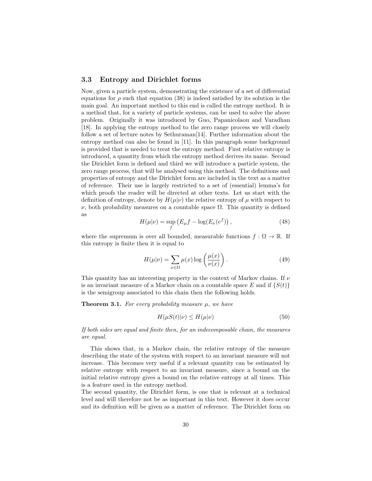#### 3.3 Entropy and Dirichlet forms

Now, given a particle system, demonstrating the existence of a set of differential equations for  $\rho$  such that equation (38) is indeed satisfied by its solution is the main goal. An important method to this end is called the entropy method. It is a method that, for a variety of particle systems, can be used to solve the above problem. Originally it was introduced by Guo, Papanicolaou and Varadhan [18]. In applying the entropy method to the zero range process we will closely follow a set of lecture notes by Sethuraman[14]. Further information about the entropy method can also be found in [11]. In this paragraph some background is provided that is needed to treat the entropy method. First relative entropy is introduced, a quantity from which the entropy method derives its name. Second the Dirichlet form is defined and third we will introduce a particle system, the zero range process, that will be analysed using this method. The definitions and properties of entropy and the Dirichlet form are included in the text as a matter of reference. Their use is largely restricted to a set of (essential) lemma's for which proofs the reader will be directed at other texts. Let us start with the definition of entropy, denote by  $H(\mu|\nu)$  the relative entropy of  $\mu$  with respect to  $ν$ , both probability measures on a countable space  $Ω$ . This quantity is defined as

$$
H(\mu|\nu) = \sup_{f} \left( E_{\mu} f - \log(E_{\nu}(e^{f})) \right), \qquad (48)
$$

where the supremum is over all bounded, measurable functions  $f : \Omega \to \mathbb{R}$ . If this entropy is finite then it is equal to

$$
H(\mu|\nu) = \sum_{x \in \Omega} \mu(x) \log \left( \frac{\mu(x)}{\nu(x)} \right). \tag{49}
$$

This quantity has an interesting property in the context of Markov chains. If  $\nu$ is an invariant measure of a Markov chain on a countable space E and if  $\{S(t)\}\$ is the semigroup associated to this chain then the following holds.

**Theorem 3.1.** For every probability measure  $\mu$ , we have

$$
H(\mu S(t)|\nu) \le H(\mu|\nu) \tag{50}
$$

If both sides are equal and finite then, for an indecomposable chain, the measures are equal.

This shows that, in a Markov chain, the relative entropy of the measure describing the state of the system with respect to an invariant measure will not increase. This becomes very useful if a relevant quantity can be estimated by relative entropy with respect to an invariant measure, since a bound on the initial relative entropy gives a bound on the relative entropy at all times. This is a feature used in the entropy method.

The second quantity, the Dirichlet form, is one that is relevant at a technical level and will therefore not be as important in this text. However it does occur and its definition will be given as a matter of reference. The Dirichlet form on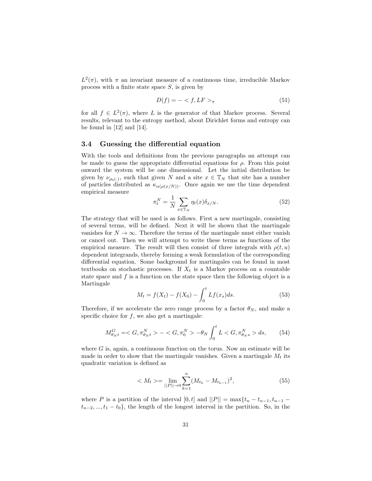$L^2(\pi)$ , with  $\pi$  an invariant measure of a continuous time, irreducible Markov process with a finite state space  $S$ , is given by

$$
D(f) = -\langle f, LF \rangle_{\pi} \tag{51}
$$

for all  $f \in L^2(\pi)$ , where L is the generator of that Markov process. Several results, relevant to the entropy method, about Dirichlet forms and entropy can be found in [12] and [14].

#### 3.4 Guessing the differential equation

With the tools and definitions from the previous paragraphs an attempt can be made to guess the appropriate differential equations for  $\rho$ . From this point onward the system will be one dimensional. Let the initial distribution be given by  $\nu_{\rho_0(.)}$ , such that given N and a site  $x \in \mathbb{T}_N$  that site has a number of particles distributed as  $\kappa_{\alpha(\rho(x/N))}$ . Once again we use the time dependent empirical measure

$$
\pi_t^N = \frac{1}{N} \sum_{x \in \mathbb{T}_N} \eta_t(x) \delta_{x/N}.\tag{52}
$$

The strategy that will be used is as follows. First a new martingale, consisting of several terms, will be defined. Next it will be shown that the martingale vanishes for  $N \to \infty$ . Therefore the terms of the martingale must either vanish or cancel out. Then we will attempt to write these terms as functions of the empirical measure. The result will then consist of three integrals with  $\rho(t, u)$ dependent integrands, thereby forming a weak formulation of the corresponding differential equation. Some background for martingales can be found in most textbooks on stochastic processes. If  $X_t$  is a Markov process on a countable state space and  $f$  is a function on the state space then the following object is a Martingale

$$
M_t = f(X_t) - f(X_0) - \int_0^t Lf(x_s)ds.
$$
 (53)

Therefore, if we accelerate the zero range process by a factor  $\theta_N$ , and make a specific choice for  $f$ , we also get a martingale:

$$
M_{\theta_{N}t}^{G} = \langle G, \pi_{\theta_{N}t}^{N} \rangle - \langle G, \pi_{0}^{N} \rangle - \theta_{N} \int_{0}^{t} L \langle G, \pi_{\theta_{N}s}^{N} \rangle ds, \qquad (54)
$$

where  $G$  is, again, a continuous function on the torus. Now an estimate will be made in order to show that the martingale vanishes. Given a martingale  $M_t$  its quadratic variation is defined as

$$
\langle M_t \rangle = \lim_{||P|| \to 0} \sum_{k=1}^{n} (M_{t_k} - M_{t_{k-1}})^2,\tag{55}
$$

where P is a partition of the interval  $[0, t]$  and  $||P|| = \max\{t_n - t_{n-1}, t_{n-1}$  $t_{n-2},..., t_1 - t_0$ , the length of the longest interval in the partition. So, in the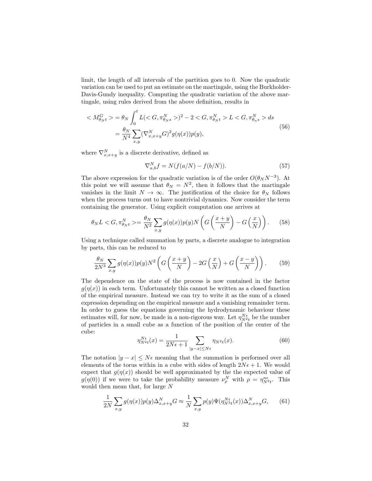limit, the length of all intervals of the partition goes to 0. Now the quadratic variation can be used to put an estimate on the martingale, using the Burkholder-Davis-Gundy inequality. Computing the quadratic variation of the above martingale, using rules derived from the above definition, results in

$$
\langle M_{\theta_{N}t}^{G} \rangle = \theta_{N} \int_{0}^{t} L(\langle G, \pi_{\theta_{N}s}^{N} \rangle)^{2} - 2 \langle G, \pi_{\theta_{N}t}^{N} \rangle L \langle G, \pi_{\theta_{n}s}^{N} \rangle ds
$$
  

$$
= \frac{\theta_{N}}{N^{4}} \sum_{x,y} (\nabla_{x,x+y}^{N} G)^{2} g(\eta(x)) p(y),
$$
 (56)

where  $\nabla_{x,x+y}^N$  is a discrete derivative, defined as

$$
\nabla_{a,b}^N f = N(f(a/N) - f(b/N)).\tag{57}
$$

The above expression for the quadratic variation is of the order  $O(\theta_N N^{-3})$ . At this point we will assume that  $\theta_N = N^2$ , then it follows that the martingale vanishes in the limit  $N \to \infty$ . The justification of the choice for  $\theta_N$  follows when the process turns out to have nontrivial dynamics. Now consider the term containing the generator. Using explicit computation one arrives at

$$
\theta_N L < G, \pi_{\theta_N t}^N > = \frac{\theta_N}{N^2} \sum_{x,y} g(\eta(x)) p(y) N\left(G\left(\frac{x+y}{N}\right) - G\left(\frac{x}{N}\right)\right). \tag{58}
$$

Using a technique called summation by parts, a discrete analogue to integration by parts, this can be reduced to

$$
\frac{\theta_N}{2N^3} \sum_{x,y} g(\eta(x)) p(y) N^2 \left( G\left(\frac{x+y}{N}\right) - 2G\left(\frac{x}{N}\right) + G\left(\frac{x-y}{N}\right) \right). \tag{59}
$$

The dependence on the state of the process is now contained in the factor  $q(\eta(x))$  in each term. Unfortunately this cannot be written as a closed function of the empirical measure. Instead we can try to write it as the sum of a closed expression depending on the empirical measure and a vanishing remainder term. In order to guess the equations governing the hydrodynamic behaviour these estimates will, for now, be made in a non-rigorous way. Let  $\eta_{N^2t}^{N\epsilon}$  be the number of particles in a small cube as a function of the position of the center of the cube:

$$
\eta_{N^2t}^{N\epsilon}(x) = \frac{1}{2N\epsilon + 1} \sum_{|y-x| \le N\epsilon} \eta_{N^2t}(x). \tag{60}
$$

The notation  $|y - x| \leq N\epsilon$  meaning that the summation is performed over all elements of the torus within in a cube with sides of length  $2N\epsilon + 1$ . We would expect that  $q(\eta(x))$  should be well approximated by the the expected value of  $g(\eta(0))$  if we were to take the probability measure  $\nu_{\rho}^N$  with  $\rho = \eta_{N^2t}^{\eta\epsilon}$ . This would then mean that, for large  $\cal N$ 

$$
\frac{1}{2N} \sum_{x,y} g(\eta(x)) p(y) \Delta_{x,x+y}^N G \approx \frac{1}{N} \sum_{x,y} p(y) \Psi(\eta_{N^2t}^{N\epsilon}(x)) \Delta_{x,x+y}^N G,\qquad(61)
$$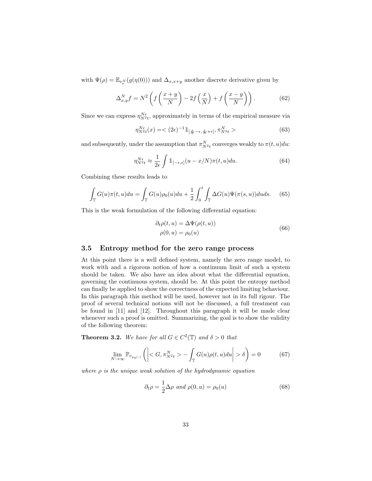with  $\Psi(\rho) = \mathbb{E}_{\nu_{\rho}^{N}}(g(\eta(0)))$  and  $\Delta_{x,x+y}$  another discrete derivative given by

$$
\Delta_{x,y}^N f = N^2 \left( f \left( \frac{x+y}{N} \right) - 2f \left( \frac{x}{N} \right) + f \left( \frac{x-y}{N} \right) \right). \tag{62}
$$

Since we can express  $\eta_{N^2t}^{N\epsilon}$ , approximately in terms of the empirical measure via

$$
\eta_{N^2t}^{N\epsilon}(x) = \langle (2\epsilon)^{-1} \mathbb{1}_{\left[\frac{x}{N}-\epsilon,\frac{x}{N}+\epsilon\right]}, \pi_{N^2t}^N > \tag{63}
$$

and subsequently, under the assumption that  $\pi_{N^2t}^N$  converges weakly to  $\pi(t, u)du$ :

$$
\eta_{N^2t}^{N\epsilon} \approx \frac{1}{2\epsilon} \int \mathbb{1}_{[-\epsilon,\epsilon]}(u-x/N)\pi(t,u)du.
$$
 (64)

Combining these results leads to

$$
\int_{\mathbb{T}} G(u)\pi(t,u)du = \int_{\mathbb{T}} G(u)\rho_0(u)du + \frac{1}{2}\int_0^t \int_{\mathbb{T}} \Delta G(u)\Psi(\pi(s,u))duds. \tag{65}
$$

This is the weak formulation of the following differential equation:

$$
\partial_t \rho(t, u) = \Delta \Psi(\rho(t, u))
$$
  
 
$$
\rho(0, u) = \rho_0(u)
$$
 (66)

#### 3.5 Entropy method for the zero range process

At this point there is a well defined system, namely the zero range model, to work with and a rigorous notion of how a continuum limit of such a system should be taken. We also have an idea about what the differential equation, governing the continuous system, should be. At this point the entropy method can finally be applied to show the correctness of the expected limiting behaviour. In this paragraph this method will be used, however not in its full rigour. The proof of several technical notions will not be discussed, a full treatment can be found in [11] and [12]. Throughout this paragraph it will be made clear whenever such a proof is omitted. Summarizing, the goal is to show the validity of the following theorem:

**Theorem 3.2.** We have for all  $G \in C^2(\mathbb{T})$  and  $\delta > 0$  that

$$
\lim_{N \to \infty} \mathbb{P}_{\nu_{\rho_0(.)}}\left( \left| \langle G, \pi^N_{N^2 t} \rangle - \int_{\mathbb{T}} G(u)\rho(t, u) du \right| > \delta \right) = 0 \tag{67}
$$

where  $\rho$  is the unique weak solution of the hydrodynamic equation

$$
\partial_t \rho = \frac{1}{2} \Delta \rho \text{ and } \rho(0, u) = \rho_0(u) \tag{68}
$$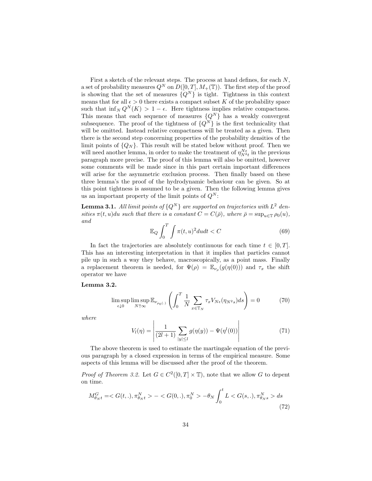First a sketch of the relevant steps. The process at hand defines, for each  $N$ , a set of probability measures  $Q^N$  on  $D([0, T], M_+(\mathbb{T}))$ . The first step of the proof is showing that the set of measures  $\{Q^N\}$  is tight. Tightness in this context means that for all  $\epsilon > 0$  there exists a compact subset K of the probability space such that  $\inf_N Q^N(K) > 1 - \epsilon$ . Here tightness implies relative compactness. This means that each sequence of measures  $\{Q^N\}$  has a weakly convergent subsequence. The proof of the tightness of  ${Q^N}$  is the first technicality that will be omitted. Instead relative compactness will be treated as a given. Then there is the second step concerning properties of the probability densities of the limit points of  $\{Q_N\}$ . This result will be stated below without proof. Then we will need another lemma, in order to make the treatment of  $\eta_{N^2t}^{N\epsilon}$  in the previous paragraph more precise. The proof of this lemma will also be omitted, however some comments will be made since in this part certain important differences will arise for the asymmetric exclusion process. Then finally based on these three lemma's the proof of the hydrodynamic behaviour can be given. So at this point tightness is assumed to be a given. Then the following lemma gives us an important property of the limit points of  $Q^N$ :

**Lemma 3.1.** All limit points of  $\{Q^N\}$  are supported on trajectories with  $L^2$  densities  $\pi(t, u)du$  such that there is a constant  $C = C(\bar{\rho})$ , where  $\bar{\rho} = \sup_{u \in \mathbb{T}} \rho_0(u)$ , and

$$
\mathbb{E}_Q \int_0^T \int \pi(t, u)^2 du dt < C \tag{69}
$$

In fact the trajectories are absolutely continuous for each time  $t \in [0, T]$ . This has an interesting interpretation in that it implies that particles cannot pile up in such a way they behave, macroscopically, as a point mass. Finally a replacement theorem is needed, for  $\Psi(\rho) = \mathbb{E}_{\nu_{\rho}}(g(\eta(0)))$  and  $\tau_x$  the shift operator we have

#### Lemma 3.2.

$$
\limsup_{\epsilon \downarrow 0} \limsup_{N \uparrow \infty} \mathbb{E}_{\nu_{\rho_0(\cdot)}} \left( \int_0^T \frac{1}{N} \sum_{x \in \mathbb{T}_N} \tau_x V_{N\epsilon}(\eta_{N^2 s}) ds \right) = 0 \tag{70}
$$

where

$$
V_l(\eta) = \left| \frac{1}{(2l+1)} \sum_{|y| \le l} g(\eta(y)) - \Psi(\eta^l(0)) \right| \tag{71}
$$

The above theorem is used to estimate the martingale equation of the previous paragraph by a closed expression in terms of the empirical measure. Some aspects of this lemma will be discussed after the proof of the theorem.

*Proof of Theorem 3.2.* Let  $G \in C^2([0,T] \times \mathbb{T})$ , note that we allow G to depent on time.

$$
M_{\theta_N t}^G = \langle G(t,.) , \pi_{\theta_N t}^N \rangle - \langle G(0,.) , \pi_0^N \rangle - \theta_N \int_0^t L \langle G(s,.) , \pi_{\theta_N s}^N \rangle ds
$$
\n(72)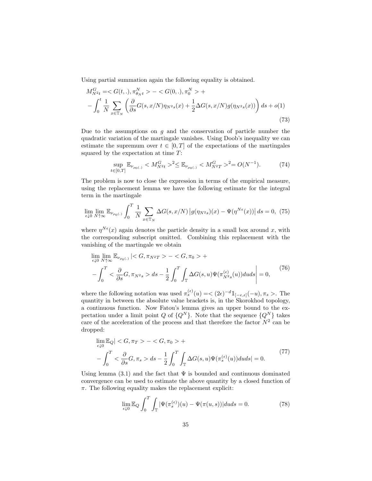Using partial summation again the following equality is obtained.

$$
M_{N^2t}^G = \langle G(t,.) , \pi_{\theta_Nt}^N \rangle - \langle G(0,.) , \pi_0^N \rangle +
$$
  
- 
$$
\int_0^t \frac{1}{N} \sum_{x \in \mathbb{T}_N} \left( \frac{\partial}{\partial s} G(s, x/N) \eta_{N^2s}(x) + \frac{1}{2} \Delta G(s, x/N) g(\eta_{N^2s}(x)) \right) ds + o(1)
$$
(73)

Due to the assumptions on  $q$  and the conservation of particle number the quadratic variation of the martingale vanishes. Using Doob's inequality we can estimate the supremum over  $t \in [0, T]$  of the expectations of the martingales squared by the expectation at time  $T$ :

$$
\sup_{t \in [0,T]} \mathbb{E}_{\nu_{\rho_0(.)}} < M_{N^2t}^G >^2 \le \mathbb{E}_{\nu_{\rho_0(.)}} < M_{N^2T}^G >^2 = O(N^{-1}).\tag{74}
$$

The problem is now to close the expression in terms of the empirical measure, using the replacement lemma we have the following estimate for the integral term in the martingale

$$
\lim_{\epsilon \downarrow 0} \lim_{N \uparrow \infty} \mathbb{E}_{\nu_{\rho_0(.)}} \int_0^T \frac{1}{N} \sum_{x \in \mathbb{T}_N} \Delta G(s, x/N) \left| g(\eta_{N^2 s})(x) - \Psi(\eta^{N\epsilon}(x)) \right| ds = 0, (75)
$$

where  $\eta^{N_{\epsilon}}(x)$  again denotes the particle density in a small box around x, with the corresponding subscript omitted. Combining this replacement with the vanishing of the martingale we obtain

$$
\lim_{\epsilon \downarrow 0} \lim_{N \uparrow \infty} \mathbb{E}_{\nu_{\rho_0(.)}} \mid < G, \pi_{N^2 T} > - < G, \pi_0 > +
$$
\n
$$
-\int_0^T < \frac{\partial}{\partial s} G, \pi_{N^2 s} > ds - \frac{1}{2} \int_0^T \int_{\mathbb{T}} \Delta G(s, u) \Psi(\pi_{N^2 s}^{(\epsilon)}(u)) du ds \bigg| = 0,
$$
\n(76)

where the following notation was used  $\pi_s^{(\epsilon)}(u) = \langle (2\epsilon)^{-d} 1\mathbb{1}_{[-\epsilon,\epsilon]}(-u), \pi_s \rangle$ . The quantity in between the absolute value brackets is, in the Skorokhod topology, a continuous function. Now Fatou's lemma gives an upper bound to the expectation under a limit point Q of  $\{Q^N\}$ . Note that the sequence  $\{Q^N\}$  takes care of the acceleration of the process and that therefore the factor  $N^2$  can be dropped:

$$
\lim_{\epsilon \downarrow 0} \mathbb{E}_Q \vert < G, \pi_T > - < G, \pi_0 > + \\
-\int_0^T < \frac{\partial}{\partial s} G, \pi_s > ds - \frac{1}{2} \int_0^T \int_{\mathbb{T}} \Delta G(s, u) \Psi(\pi_s^{(\epsilon)}(u)) du \, ds \vert = 0. \tag{77}
$$

Using lemma (3.1) and the fact that  $\Psi$  is bounded and continuous dominated convergence can be used to estimate the above quantity by a closed function of  $\pi$ . The following equality makes the replacement explicit:

$$
\lim_{\epsilon \downarrow 0} \mathbb{E}_Q \int_0^T \int_{\mathbb{T}} |\Psi(\pi_s^{(\epsilon)}) (u) - \Psi(\pi(u, s))| du ds = 0.
$$
 (78)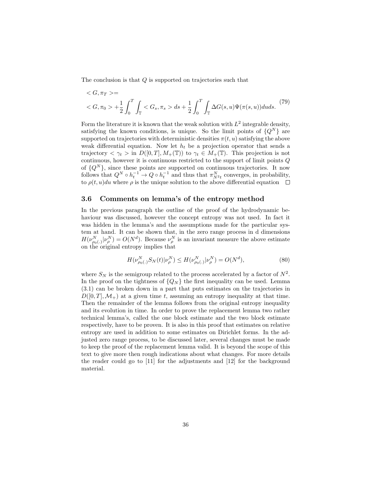The conclusion is that  $Q$  is supported on trajectories such that

$$
\langle G, \pi_T \rangle =
$$
  

$$
\langle G, \pi_0 \rangle + \frac{1}{2} \int_0^T \int_{\mathbb{T}} \langle G_s, \pi_s \rangle ds + \frac{1}{2} \int_0^T \int_{\mathbb{T}} \Delta G(s, u) \Psi(\pi(s, u)) du ds. \tag{79}
$$

Form the literature it is known that the weak solution with  $L^2$  integrable density, satisfying the known conditions, is unique. So the limit points of  ${Q^N}$  are supported on trajectories with deterministic densities  $\pi(t, u)$  satisfying the above weak differential equation. Now let  $h_t$  be a projection operator that sends a trajectory  $\langle \gamma_t \rangle$  in  $D([0,T], M_+(\mathbb{T}))$  to  $\gamma_t \in M_+(\mathbb{T})$ . This projection is not continuous, however it is continuous restricted to the support of limit points Q of  $\{Q^N\}$ , since these points are supported on continuous trajectories. It now follows that  $Q^N \circ h_t^{-1} \to Q \circ h_t^{-1}$  and thus that  $\pi_{N^2t}^N$  converges, in probability, to  $\rho(t, u)du$  where  $\rho$  is the unique solution to the above differential equation  $\square$ 

#### 3.6 Comments on lemma's of the entropy method

In the previous paragraph the outline of the proof of the hydrodynamic behaviour was discussed, however the concept entropy was not used. In fact it was hidden in the lemma's and the assumptions made for the particular system at hand. It can be shown that, in the zero range process in d dimensions  $H(\nu_{\rho_0(\cdot)}^N | \nu_{\rho}^N) = O(N^d)$ . Because  $\nu_{\rho}^N$  is an invariant measure the above estimate on the original entropy implies that

$$
H(\nu_{\rho_0(.)}^N S_N(t)|\nu_{\rho}^N) \le H(\nu_{\rho_0(.)}^N|\nu_{\rho}^N) = O(N^d),\tag{80}
$$

where  $S_N$  is the semigroup related to the process accelerated by a factor of  $N^2$ . In the proof on the tightness of  ${Q_N}$  the first inequality can be used. Lemma (3.1) can be broken down in a part that puts estimates on the trajectories in  $D([0,T], \mathcal{M}_+)$  at a given time t, assuming an entropy inequality at that time. Then the remainder of the lemma follows from the original entropy inequality and its evolution in time. In order to prove the replacement lemma two rather technical lemma's, called the one block estimate and the two block estimate respectively, have to be proven. It is also in this proof that estimates on relative entropy are used in addition to some estimates on Dirichlet forms. In the adjusted zero range process, to be discussed later, several changes must be made to keep the proof of the replacement lemma valid. It is beyond the scope of this text to give more then rough indications about what changes. For more details the reader could go to [11] for the adjustments and [12] for the background material.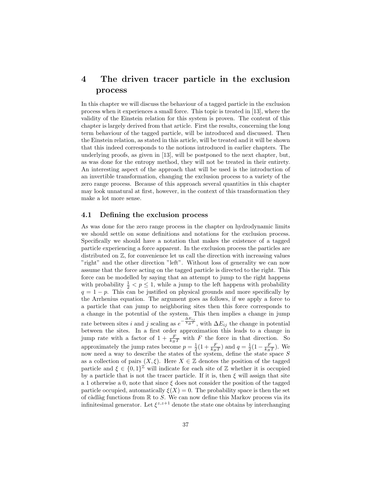## 4 The driven tracer particle in the exclusion process

In this chapter we will discuss the behaviour of a tagged particle in the exclusion process when it experiences a small force. This topic is treated in [13], where the validity of the Einstein relation for this system is proven. The content of this chapter is largely derived from that article. First the results, concerning the long term behaviour of the tagged particle, will be introduced and discussed. Then the Einstein relation, as stated in this article, will be treated and it will be shown that this indeed corresponds to the notions introduced in earlier chapters. The underlying proofs, as given in [13], will be postponed to the next chapter, but, as was done for the entropy method, they will not be treated in their entirety. An interesting aspect of the approach that will be used is the introduction of an invertible transformation, changing the exclusion process to a variety of the zero range process. Because of this approach several quantities in this chapter may look unnatural at first, however, in the context of this transformation they make a lot more sense.

#### 4.1 Defining the exclusion process

As was done for the zero range process in the chapter on hydrodynamic limits we should settle on some definitions and notations for the exclusion process. Specifically we should have a notation that makes the existence of a tagged particle experiencing a force apparent. In the exclusion process the particles are distributed on Z, for convenience let us call the direction with increasing values "right" and the other direction "left". Without loss of generality we can now assume that the force acting on the tagged particle is directed to the right. This force can be modelled by saying that an attempt to jump to the right happens with probability  $\frac{1}{2} < p \leq 1$ , while a jump to the left happens with probability  $q = 1 - p$ . This can be justified on physical grounds and more specifically by the Arrhenius equation. The argument goes as follows, if we apply a force to a particle that can jump to neighboring sites then this force corresponds to a change in the potential of the system. This then implies a change in jump rate between sites i and j scaling as  $e^{-\frac{\Delta E_{ij}}{k_B T}}$ , with  $\Delta E_{ij}$  the change in potential between the sites. In a first order approximation this leads to a change in jump rate with a factor of  $1 + \frac{F}{k_B T}$  with F the force in that direction. So approximately the jump rates become  $p = \frac{1}{2}(1 + \frac{F}{k_B T})$  and  $q = \frac{1}{2}(1 - \frac{F}{k_B T})$ . We now need a way to describe the states of the system, define the state space  $S$ as a collection of pairs  $(X, \xi)$ . Here  $X \in \mathbb{Z}$  denotes the position of the tagged particle and  $\xi \in \{0,1\}^{\mathbb{Z}}$  will indicate for each site of  $\mathbb{Z}$  whether it is occupied by a particle that is not the tracer particle. If it is, then  $\xi$  will assign that site a 1 otherwise a 0, note that since  $\xi$  does not consider the position of the tagged particle occupied, automatically  $\xi(X) = 0$ . The probability space is then the set of càdlàg functions from  $\mathbb R$  to S. We can now define this Markov process via its infinitesimal generator. Let  $\xi^{z,z+1}$  denote the state one obtains by interchanging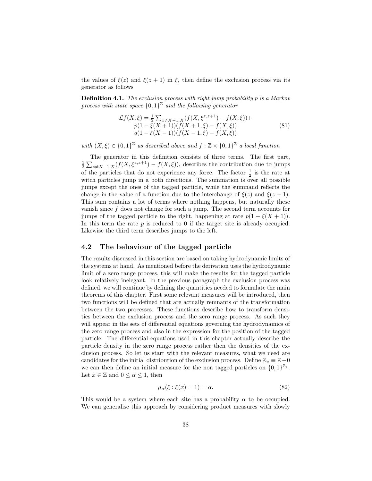the values of  $\xi(z)$  and  $\xi(z+1)$  in  $\xi$ , then define the exclusion process via its generator as follows

Definition 4.1. The exclusion process with right jump probability p is a Markov process with state space  ${0,1}^{\mathbb{Z}}$  and the following generator

$$
\mathcal{L}f(X,\xi) = \frac{1}{2} \sum_{z \neq X-1,X} (f(X,\xi^{z,z+1}) - f(X,\xi)) +
$$
  
\n
$$
p(1 - \xi(X+1))(f(X+1,\xi) - f(X,\xi))
$$
  
\n
$$
q(1 - \xi(X-1))(f(X-1,\xi) - f(X,\xi))
$$
\n(81)

with  $(X,\xi) \in \{0,1\}^{\mathbb{Z}}$  as described above and  $f : \mathbb{Z} \times \{0,1\}^{\mathbb{Z}}$  a local function

The generator in this definition consists of three terms. The first part,  $\frac{1}{2} \sum_{z \neq X-1,X} (f(X,\xi^{z,z+1}) - f(X,\xi))$ , describes the contribution due to jumps of the particles that do not experience any force. The factor  $\frac{1}{2}$  is the rate at witch particles jump in a both directions. The summation is over all possible jumps except the ones of the tagged particle, while the summand reflects the change in the value of a function due to the interchange of  $\xi(z)$  and  $\xi(z+1)$ . This sum contains a lot of terms where nothing happens, but naturally these vanish since  $f$  does not change for such a jump. The second term accounts for jumps of the tagged particle to the right, happening at rate  $p(1 - \xi(X + 1))$ . In this term the rate  $p$  is reduced to 0 if the target site is already occupied. Likewise the third term describes jumps to the left.

#### 4.2 The behaviour of the tagged particle

The results discussed in this section are based on taking hydrodynamic limits of the systems at hand. As mentioned before the derivation uses the hydrodynamic limit of a zero range process, this will make the results for the tagged particle look relatively inelegant. In the previous paragraph the exclusion process was defined, we will continue by defining the quantities needed to formulate the main theorems of this chapter. First some relevant measures will be introduced, then two functions will be defined that are actually remnants of the transformation between the two processes. These functions describe how to transform densities between the exclusion process and the zero range process. As such they will appear in the sets of differential equations governing the hydrodynamics of the zero range process and also in the expression for the position of the tagged particle. The differential equations used in this chapter actually describe the particle density in the zero range process rather then the densities of the exclusion process. So let us start with the relevant measures, what we need are candidates for the initial distribution of the exclusion process. Define  $\mathbb{Z}_* \equiv \mathbb{Z} - 0$ we can then define an initial measure for the non tagged particles on  $\{0,1\}^{\mathbb{Z}_{*}}$ . Let  $x \in \mathbb{Z}$  and  $0 \leq \alpha \leq 1$ , then

$$
\mu_{\alpha}(\xi : \xi(x) = 1) = \alpha. \tag{82}
$$

This would be a system where each site has a probability  $\alpha$  to be occupied. We can generalise this approach by considering product measures with slowly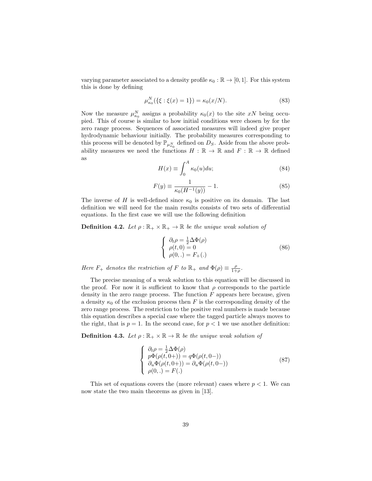varying parameter associated to a density profile  $\kappa_0 : \mathbb{R} \to [0, 1]$ . For this system this is done by defining

$$
\mu_{\kappa_0}^N(\{\xi:\xi(x)=1\}) = \kappa_0(x/N). \tag{83}
$$

Now the measure  $\mu_{\kappa_0}^N$  assigns a probability  $\kappa_0(x)$  to the site  $xN$  being occupied. This of course is similar to how initial conditions were chosen by for the zero range process. Sequences of associated measures will indeed give proper hydrodynamic behaviour initially. The probability measures corresponding to this process will be denoted by  $\mathbb{P}_{\mu_{\kappa_0}^N}$  defined on  $D_S$ . Aside from the above probability measures we need the functions  $H : \mathbb{R} \to \mathbb{R}$  and  $F : \mathbb{R} \to \mathbb{R}$  defined as

$$
H(x) \equiv \int_0^A \kappa_0(u) du; \tag{84}
$$

$$
F(y) \equiv \frac{1}{\kappa_0 (H^{-1}(y))} - 1.
$$
 (85)

The inverse of H is well-defined since  $\kappa_0$  is positive on its domain. The last definition we will need for the main results consists of two sets of differential equations. In the first case we will use the following definition

**Definition 4.2.** Let  $\rho : \mathbb{R}_+ \times \mathbb{R}_+ \to \mathbb{R}$  be the unique weak solution of

$$
\begin{cases}\n\partial_t \rho = \frac{1}{2} \Delta \Phi(\rho) \\
\rho(t, 0) = 0 \\
\rho(0,.) = F_+(\mathbf{.})\n\end{cases}
$$
\n(86)

Here  $F_+$  denotes the restriction of F to  $\mathbb{R}_+$  and  $\Phi(\rho) \equiv \frac{\rho}{1+\rho}$ .

The precise meaning of a weak solution to this equation will be discussed in the proof. For now it is sufficient to know that  $\rho$  corresponds to the particle density in the zero range process. The function  $F$  appears here because, given a density  $\kappa_0$  of the exclusion process then F is the corresponding density of the zero range process. The restriction to the positive real numbers is made because this equation describes a special case where the tagged particle always moves to the right, that is  $p = 1$ . In the second case, for  $p < 1$  we use another definition:

**Definition 4.3.** Let  $\rho : \mathbb{R}_+ \times \mathbb{R} \to \mathbb{R}$  be the unique weak solution of

$$
\begin{cases}\n\partial_t \rho = \frac{1}{2} \Delta \Phi(\rho) \\
p\Phi(\rho(t, 0+)) = q\Phi(\rho(t, 0-)) \\
\partial_u \Phi(\rho(t, 0+)) = \partial_u \Phi(\rho(t, 0-)) \\
\rho(0, .) = F(.)\n\end{cases}
$$
\n(87)

This set of equations covers the (more relevant) cases where  $p < 1$ . We can now state the two main theorems as given in [13].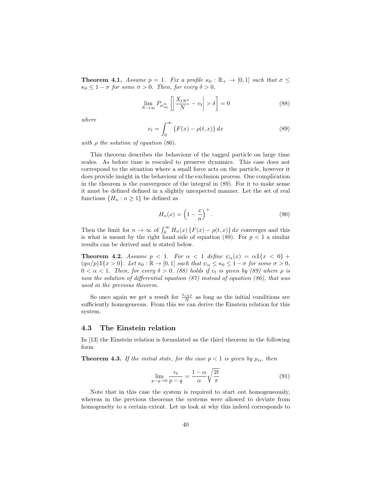**Theorem 4.1.** Assume  $p = 1$ . Fix a profile  $\kappa_0 : \mathbb{R}_+ \to [0,1]$  such that  $\sigma \leq$  $\kappa_0 \leq 1 - \sigma$  for some  $\sigma > 0$ . Then, for every  $\delta > 0$ ,

$$
\lim_{N \to \infty} P_{\mu_{\kappa_0}^N} \left[ \left| \frac{X_{tN^2}}{N} - v_t \right| > \delta \right] = 0 \tag{88}
$$

where

$$
v_t = \int_0^\infty \{F(x) - \rho(t, x)\} dx
$$
\n(89)

with  $\rho$  the solution of equation (86).

This theorem describes the behaviour of the tagged particle on large time scales. As before time is rescaled to preserve dynamics. This case does not correspond to the situation where a small force acts on the particle, however it does provide insight in the behaviour of the exclusion process. One complication in the theorem is the convergence of the integral in (89). For it to make sense it must be defined defined in a slightly unexpected manner. Let the set of real functions  $\{H_n : n \geq 1\}$  be defined as

$$
H_n(x) = \left(1 - \frac{x}{n}\right)^+.
$$
\n(90)

Then the limit for  $n \to \infty$  of  $\int_0^\infty H_n(x) \{ F(x) - \rho(t,x) \} dx$  converges and this is what is meant by the right hand side of equation (89). For  $p < 1$  a similar results can be derived and is stated below.

**Theorem 4.2.** Assume  $p < 1$ . For  $\alpha < 1$  define  $\psi_{\alpha}(x) = \alpha \mathbb{1}\{x < 0\}$  +  $(q\alpha/p)\mathbb{1}\{x>0\}$ . Let  $\kappa_0:\mathbb{R}\to[0,1]$  such that  $\psi_\alpha\leq\kappa_0\leq 1-\sigma$  for some  $\sigma>0$ ,  $0 < \alpha < 1$ . Then, for every  $\delta > 0$ , (88) holds if  $v_t$  is given by (89) where  $\rho$  is now the solution of differential equation (87) instead of equation (86), that was used in the previous theorem.

So once again we get a result for  $\frac{x_{tN^2}}{N}$  as long as the initial conditions are sufficiently homogeneous. From this we can derive the Einstein relation for this system.

#### 4.3 The Einstein relation

In [13] the Einstein relation is formulated as the third theorem in the following form

**Theorem 4.3.** If the initial state, for the case  $p < 1$  is given by  $\mu_{\alpha}$ , then

$$
\lim_{p-q \to 0} \frac{v_t}{p-q} = \frac{1-\alpha}{\alpha} \sqrt{\frac{2t}{\pi}}
$$
\n(91)

Note that in this case the system is required to start out homogeneously, whereas in the previous theorems the systems were allowed to deviate from homogeneity to a certain extent. Let us look at why this indeed corresponds to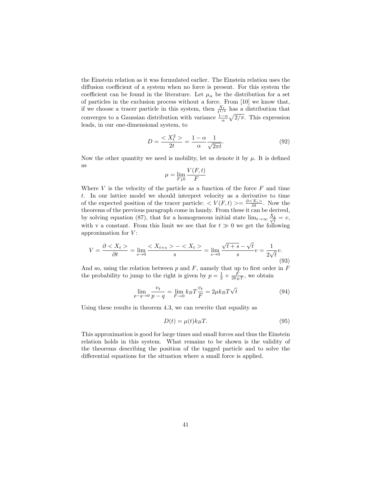the Einstein relation as it was formulated earlier. The Einstein relation uses the diffusion coefficient of a system when no force is present. For this system the coefficient can be found in the literature. Let  $\mu_{\alpha}$  be the distribution for a set of particles in the exclusion process without a force. From [10] we know that, if we choose a tracer particle in this system, then  $\frac{X_t}{t^{1/4}}$  has a distribution that converges to a Gaussian distribution with variance  $\frac{1-\alpha}{\alpha}\sqrt{2/\pi}$ . This expression leads, in our one-dimensional system, to

$$
D = \frac{\langle X_t^2 \rangle}{2t} = \frac{1 - \alpha}{\alpha} \frac{1}{\sqrt{2\pi t}}.
$$
\n(92)

Now the other quantity we need is mobility, let us denote it by  $\mu$ . It is defined as

$$
\mu = \lim_{F \downarrow 0} \frac{V(F, t)}{F}
$$

Where  $V$  is the velocity of the particle as a function of the force  $F$  and time t. In our lattice model we should interpret velocity as a derivative to time of the expected position of the tracer particle:  $\langle V(F,t) \rangle = \frac{\partial \langle X_t \rangle}{\partial t}$ . Now the theorems of the previous paragraph come in handy. From these it can be derived, by solving equation (87), that for a homogeneous initial state  $\lim_{t\to\infty} \frac{X_t}{\sqrt{t}} = v$ , with v a constant. From this limit we see that for  $t \gg 0$  we get the following approximation for  $V$ :

$$
V = \frac{\partial < X_t}{\partial t} = \lim_{s \to 0} \frac{\langle X_{t+s} \rangle - \langle X_t \rangle}{s} = \lim_{s \to 0} \frac{\sqrt{t+s} - \sqrt{t}}{s} v = \frac{1}{2\sqrt{t}} v. \tag{93}
$$

And so, using the relation between  $p$  and  $F$ , namely that up to first order in  $F$ the probability to jump to the right is given by  $p = \frac{1}{2} + \frac{F}{2k_BT}$ , we obtain

$$
\lim_{p-q \to 0} \frac{v_t}{p-q} = \lim_{F \to 0} k_B T \frac{v_t}{F} = 2\mu k_B T \sqrt{t}
$$
\n(94)

Using these results in theorem 4.3, we can rewrite that equality as

$$
D(t) = \mu(t)k_B T.
$$
\n(95)

This approximation is good for large times and small forces and thus the Einstein relation holds in this system. What remains to be shown is the validity of the theorems describing the position of the tagged particle and to solve the differential equations for the situation where a small force is applied.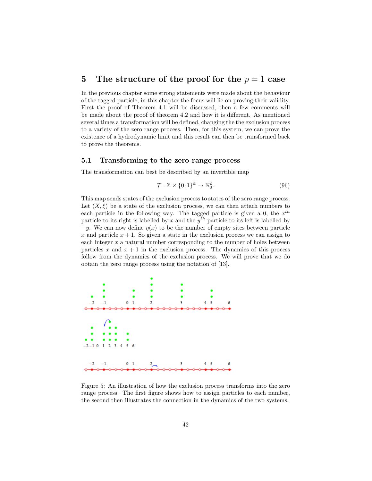### 5 The structure of the proof for the  $p = 1$  case

In the previous chapter some strong statements were made about the behaviour of the tagged particle, in this chapter the focus will lie on proving their validity. First the proof of Theorem 4.1 will be discussed, then a few comments will be made about the proof of theorem 4.2 and how it is different. As mentioned several times a transformation will be defined, changing the the exclusion process to a variety of the zero range process. Then, for this system, we can prove the existence of a hydrodynamic limit and this result can then be transformed back to prove the theorems.

#### 5.1 Transforming to the zero range process

The transformation can best be described by an invertible map

$$
\mathcal{T}: \mathbb{Z} \times \{0,1\}^{\mathbb{Z}} \to \mathbb{N}_{0}^{\mathbb{Z}}.
$$
\n(96)

This map sends states of the exclusion process to states of the zero range process. Let  $(X, \xi)$  be a state of the exclusion process, we can then attach numbers to each particle in the following way. The tagged particle is given a 0, the  $x^{th}$ particle to its right is labelled by x and the  $y^{th}$  particle to its left is labelled by  $-y$ . We can now define  $\eta(x)$  to be the number of empty sites between particle x and particle  $x + 1$ . So given a state in the exclusion process we can assign to each integer  $x$  a natural number corresponding to the number of holes between particles x and  $x + 1$  in the exclusion process. The dynamics of this process follow from the dynamics of the exclusion process. We will prove that we do obtain the zero range process using the notation of [13].



Figure 5: An illustration of how the exclusion process transforms into the zero range process. The first figure shows how to assign particles to each number, the second then illustrates the connection in the dynamics of the two systems.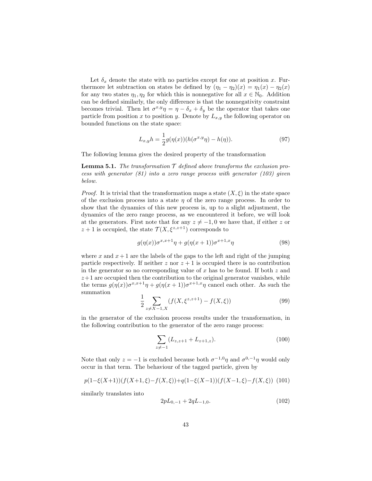Let  $\delta_x$  denote the state with no particles except for one at position x. Furthermore let subtraction on states be defined by  $(\eta_1 - \eta_2)(x) = \eta_1(x) - \eta_2(x)$ for any two states  $\eta_1, \eta_2$  for which this is nonnegative for all  $x \in \mathbb{N}_0$ . Addition can be defined similarly, the only difference is that the nonnegativity constraint becomes trivial. Then let  $\sigma^{x,y}\eta = \eta - \delta_x + \delta_y$  be the operator that takes one particle from position x to position y. Denote by  $L_{x,y}$  the following operator on bounded functions on the state space:

$$
L_{x,y}h = \frac{1}{2}g(\eta(x))(h(\sigma^{x,y}\eta) - h(\eta)).
$$
\n(97)

The following lemma gives the desired property of the transformation

**Lemma 5.1.** The transformation  $\mathcal T$  defined above transforms the exclusion process with generator (81) into a zero range process with generator (103) given below.

*Proof.* It is trivial that the transformation maps a state  $(X, \xi)$  in the state space of the exclusion process into a state  $\eta$  of the zero range process. In order to show that the dynamics of this new process is, up to a slight adjustment, the dynamics of the zero range process, as we encountered it before, we will look at the generators. First note that for any  $z \neq -1, 0$  we have that, if either z or  $z+1$  is occupied, the state  $\mathcal{T}(X,\xi^{z,z+1})$  corresponds to

$$
g(\eta(x))\sigma^{x,x+1}\eta + g(\eta(x+1))\sigma^{x+1,x}\eta \tag{98}
$$

where x and  $x+1$  are the labels of the gaps to the left and right of the jumping particle respectively. If neither  $z$  nor  $z + 1$  is occupied there is no contribution in the generator so no corresponding value of x has to be found. If both  $z$  and  $z+1$  are occupied then the contribution to the original generator vanishes, while the terms  $g(\eta(x))\sigma^{x,x+1}\eta + g(\eta(x+1))\sigma^{x+1,x}\eta$  cancel each other. As such the summation

$$
\frac{1}{2} \sum_{z \neq X-1, X} (f(X, \xi^{z, z+1}) - f(X, \xi)) \tag{99}
$$

in the generator of the exclusion process results under the transformation, in the following contribution to the generator of the zero range process:

$$
\sum_{z \neq -1} (L_{z,z+1} + L_{z+1,z}). \tag{100}
$$

Note that only  $z = -1$  is excluded because both  $\sigma^{-1,0}\eta$  and  $\sigma^{0,-1}\eta$  would only occur in that term. The behaviour of the tagged particle, given by

$$
p(1-\xi(X+1))(f(X+1,\xi)-f(X,\xi)) + q(1-\xi(X-1))(f(X-1,\xi)-f(X,\xi)) \tag{101}
$$

similarly translates into

$$
2pL_{0,-1} + 2qL_{-1,0}.\tag{102}
$$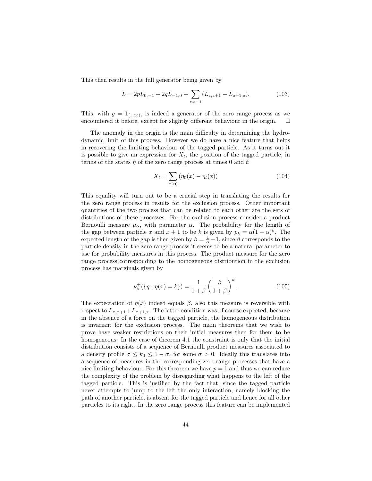This then results in the full generator being given by

$$
L = 2pL_{0,-1} + 2qL_{-1,0} + \sum_{z \neq -1} (L_{z,z+1} + L_{z+1,z}).
$$
 (103)

This, with  $g = \mathbb{1}_{[1,\infty)}$ , is indeed a generator of the zero range process as we encountered it before, except for slightly different behaviour in the origin.  $\Box$ 

The anomaly in the origin is the main difficulty in determining the hydrodynamic limit of this process. However we do have a nice feature that helps in recovering the limiting behaviour of the tagged particle. As it turns out it is possible to give an expression for  $X_t$ , the position of the tagged particle, in terms of the states  $\eta$  of the zero range process at times 0 and t:

$$
X_t = \sum_{x \ge 0} (\eta_0(x) - \eta_t(x))
$$
\n(104)

This equality will turn out to be a crucial step in translating the results for the zero range process in results for the exclusion process. Other important quantities of the two process that can be related to each other are the sets of distributions of these processes. For the exclusion process consider a product Bernoulli measure  $\mu_{\alpha}$ , with parameter  $\alpha$ . The probability for the length of the gap between particle x and  $x + 1$  to be k is given by  $p_k = \alpha(1 - \alpha)^k$ . The expected length of the gap is then given by  $\beta = \frac{1}{\alpha} - 1$ , since  $\beta$  corresponds to the particle density in the zero range process it seems to be a natural parameter to use for probability measures in this process. The product measure for the zero range process corresponding to the homogeneous distribution in the exclusion process has marginals given by

$$
\nu_{\beta}^{+}(\{\eta : \eta(x) = k\}) = \frac{1}{1+\beta} \left(\frac{\beta}{1+\beta}\right)^{k}.
$$
 (105)

The expectation of  $\eta(x)$  indeed equals  $\beta$ , also this measure is reversible with respect to  $L_{x,x+1}+L_{x+1,x}$ . The latter condition was of course expected, because in the absence of a force on the tagged particle, the homogeneous distribution is invariant for the exclusion process. The main theorems that we wish to prove have weaker restrictions on their initial measures then for them to be homogeneous. In the case of theorem 4.1 the constraint is only that the initial distribution consists of a sequence of Bernoulli product measures associated to a density profile  $\sigma \leq k_0 \leq 1 - \sigma$ , for some  $\sigma > 0$ . Ideally this translates into a sequence of measures in the corresponding zero range processes that have a nice limiting behaviour. For this theorem we have  $p = 1$  and thus we can reduce the complexity of the problem by disregarding what happens to the left of the tagged particle. This is justified by the fact that, since the tagged particle never attempts to jump to the left the only interaction, namely blocking the path of another particle, is absent for the tagged particle and hence for all other particles to its right. In the zero range process this feature can be implemented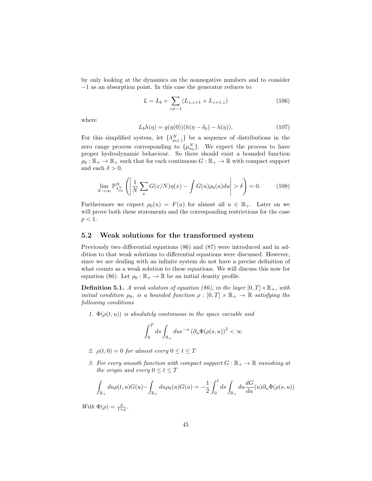by only looking at the dynamics on the nonnegative numbers and to consider −1 as an absorption point. In this case the generator reduces to

$$
L = L_b + \sum_{z \neq -1} (L_{z,z+1} + L_{z+1,z})
$$
\n(106)

where

$$
L_b h(\eta) = g(\eta(0))(h(\eta - \delta_0) - h(\eta)).
$$
\n(107)

For this simplified system, let  $\{\lambda_{\rho_0(.)}^N\}$  be a sequence of distributions in the zero range process corresponding to  $\{\mu_{\kappa_0}^N\}$ . We expect the process to have proper hydrodynamic behaviour. So there should exist a bounded function  $\rho_0 : \mathbb{R}_+ \to \mathbb{R}_+$  such that for each continuous  $G : \mathbb{R}_+ \to \mathbb{R}$  with compact support and each  $\delta > 0$ ,

$$
\lim_{N \to \infty} \mathbb{P}_{\lambda_{\rho_0}}^N \left( \left| \frac{1}{N} \sum_x G(x/N) \eta(x) - \int G(u) \rho_0(u) du \right| > \delta \right) = 0. \tag{108}
$$

Furthermore we expect  $\rho_0(u) = F(u)$  for almost all  $u \in \mathbb{R}_+$ . Later on we will prove both these statements and the corresponding restrictions for the case  $p < 1$ .

#### 5.2 Weak solutions for the transformed system

Previously two differential equations (86) and (87) were introduced and in addition to that weak solutions to differential equations were discussed. However, since we are dealing with an infinite system do not have a precise definition of what counts as a weak solution to these equations. We will discuss this now for equation (86). Let  $\rho_0 : \mathbb{R}_+ \to \mathbb{R}$  be an initial density profile.

**Definition 5.1.** A weak solution of equation (86), in the layer  $[0, T] \times \mathbb{R}_+$ , with initial condition  $\rho_0$ , is a bounded function  $\rho : [0, T] \times \mathbb{R}_+ \to \mathbb{R}$  satisfying the following conditions

1.  $\Phi(\rho(t, u))$  is absolutely continuous in the space variable and

$$
\int_0^T ds \int_{\mathbb{R}_+} du e^{-u} \left(\partial_u \Phi(\rho(s, u))\right)^2 < \infty
$$

- 2.  $\rho(t, 0) = 0$  for almost every  $0 \le t \le T$
- 3. For every smooth function with compact support  $G : \mathbb{R}_+ \to \mathbb{R}$  vanishing at the origin and every  $0 \le t \le T$

$$
\int_{\mathbb{R}_+} du \rho(t, u) G(u) - \int_{\mathbb{R}_+} du \rho_0(u) G(u) = -\frac{1}{2} \int_0^t ds \int_{\mathbb{R}_+} du \frac{dG}{du}(u) \partial_u \Phi(\rho(s, u))
$$

With  $\Phi(\rho) = \frac{\rho}{1+\rho}$ .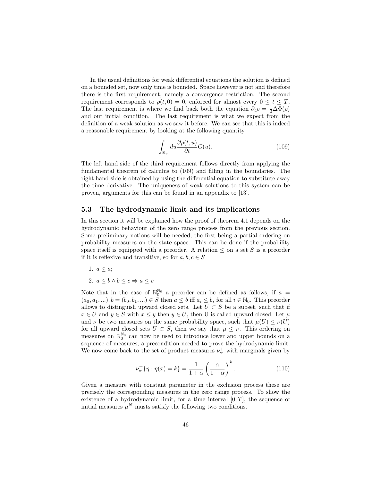In the usual definitions for weak differential equations the solution is defined on a bounded set, now only time is bounded. Space however is not and therefore there is the first requirement, namely a convergence restriction. The second requirement corresponds to  $\rho(t, 0) = 0$ , enforced for almost every  $0 \le t \le T$ . The last requirement is where we find back both the equation  $\partial_t \rho = \frac{1}{2} \Delta \Phi(\rho)$ and our initial condition. The last requirement is what we expect from the definition of a weak solution as we saw it before. We can see that this is indeed a reasonable requirement by looking at the following quantity

$$
\int_{\mathbb{R}_+} du \frac{\partial \rho(t, u)}{\partial t} G(u). \tag{109}
$$

The left hand side of the third requirement follows directly from applying the fundamental theorem of calculus to (109) and filling in the boundaries. The right hand side is obtained by using the differential equation to substitute away the time derivative. The uniqueness of weak solutions to this system can be proven, arguments for this can be found in an appendix to [13].

#### 5.3 The hydrodynamic limit and its implications

In this section it will be explained how the proof of theorem 4.1 depends on the hydrodynamic behaviour of the zero range process from the previous section. Some preliminary notions will be needed, the first being a partial ordering on probability measures on the state space. This can be done if the probability space itself is equipped with a preorder. A relation  $\leq$  on a set S is a preorder if it is reflexive and transitive, so for  $a, b, c \in S$ 

- 1.  $a \leq a$ ;
- 2.  $a \leq b \wedge b \leq c \Rightarrow a \leq c$

Note that in the case of  $\mathbb{N}_0^{\mathbb{N}_0}$  a preorder can be defined as follows, if  $a =$  $(a_0, a_1, \ldots), b = (b_0, b_1, \ldots) \in S$  then  $a \leq b$  iff  $a_i \leq b_i$  for all  $i \in \mathbb{N}_0$ . This preorder allows to distinguish upward closed sets. Let  $U \subset S$  be a subset, such that if  $x \in U$  and  $y \in S$  with  $x \le y$  then  $y \in U$ , then U is called upward closed. Let  $\mu$ and  $\nu$  be two measures on the same probability space, such that  $\mu(U) \leq \nu(U)$ for all upward closed sets  $U \subset S$ , then we say that  $\mu \leq \nu$ . This ordering on measures on  $\mathbb{N}_0^{\mathbb{N}_0}$  can now be used to introduce lower and upper bounds on a sequence of measures, a precondition needed to prove the hydrodynamic limit. We now come back to the set of product measures  $\nu^+_{\alpha}$  with marginals given by

$$
\nu_{\alpha}^{+}\{\eta:\eta(x)=k\}=\frac{1}{1+\alpha}\left(\frac{\alpha}{1+\alpha}\right)^{k}.\tag{110}
$$

Given a measure with constant parameter in the exclusion process these are precisely the corresponding measures in the zero range process. To show the existence of a hydrodynamic limit, for a time interval  $[0, T]$ , the sequence of initial measures  $\mu^N$  musts satisfy the following two conditions.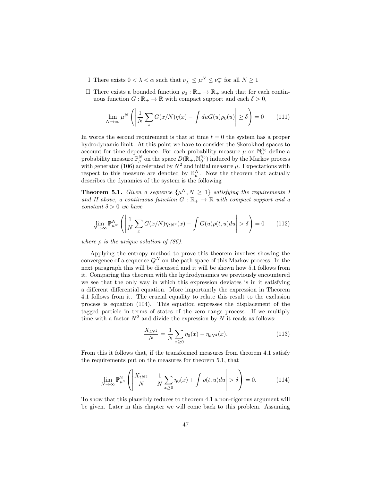- I There exists  $0 < \lambda < \alpha$  such that  $\nu_{\lambda}^+ \leq \mu^N \leq \nu_{\alpha}^+$  for all  $N \geq 1$
- II There exists a bounded function  $\rho_0 : \mathbb{R}_+ \to \mathbb{R}_+$  such that for each continuous function  $G : \mathbb{R}_+ \to \mathbb{R}$  with compact support and each  $\delta > 0$ ,

$$
\lim_{N \to \infty} \mu^N \left( \left| \frac{1}{N} \sum_x G(x/N) \eta(x) - \int du G(u) \rho_0(u) \right| \ge \delta \right) = 0 \qquad (111)
$$

In words the second requirement is that at time  $t = 0$  the system has a proper hydrodynamic limit. At this point we have to consider the Skorokhod spaces to account for time dependence. For each probability measure  $\mu$  on  $\mathbb{N}_0^{\mathbb{N}_0}$  define a probability measure  $\mathbb{P}_{\mu}^{N}$  on the space  $D(\mathbb{R}_{+}, \mathbb{N}_{0}^{\mathbb{N}_{0}})$  induced by the Markov process with generator (106) accelerated by  $N^2$  and initial measure  $\mu$ . Expectations with respect to this measure are denoted by  $\mathbb{E}_{\mu}^{N}$ . Now the theorem that actually describes the dynamics of the system is the following

**Theorem 5.1.** Given a sequence  $\{\mu^N, N \geq 1\}$  satisfying the requirements 1 and II above, a continuous function  $G : \mathbb{R}_+ \to \mathbb{R}$  with compact support and a constant  $\delta > 0$  we have

$$
\lim_{N \to \infty} \mathbb{P}_{\mu^N}^N \left( \left| \frac{1}{N} \sum_x G(x/N) \eta_{tN^2}(x) - \int G(u) \rho(t, u) du \right| > \delta \right) = 0 \qquad (112)
$$

where  $\rho$  is the unique solution of (86).

Applying the entropy method to prove this theorem involves showing the convergence of a sequence  $Q^N$  on the path space of this Markov process. In the next paragraph this will be discussed and it will be shown how 5.1 follows from it. Comparing this theorem with the hydrodynamics we previously encountered we see that the only way in which this expression deviates is in it satisfying a different differential equation. More importantly the expression in Theorem 4.1 follows from it. The crucial equality to relate this result to the exclusion process is equation (104). This equation expresses the displacement of the tagged particle in terms of states of the zero range process. If we multiply time with a factor  $N^2$  and divide the expression by N it reads as follows:

$$
\frac{X_{tN^2}}{N} = \frac{1}{N} \sum_{x \ge 0} \eta_0(x) - \eta_{tN^2}(x). \tag{113}
$$

From this it follows that, if the transformed measures from theorem 4.1 satisfy the requirements put on the measures for theorem 5.1, that

$$
\lim_{N \to \infty} \mathbb{P}^{\mathbb{N}}_{\mu^{\mathbb{N}}} \left( \left| \frac{X_{tN^2}}{N} - \frac{1}{N} \sum_{x \ge 0} \eta_0(x) + \int \rho(t, u) du \right| > \delta \right) = 0. \tag{114}
$$

To show that this plausibly reduces to theorem 4.1 a non-rigorous argument will be given. Later in this chapter we will come back to this problem. Assuming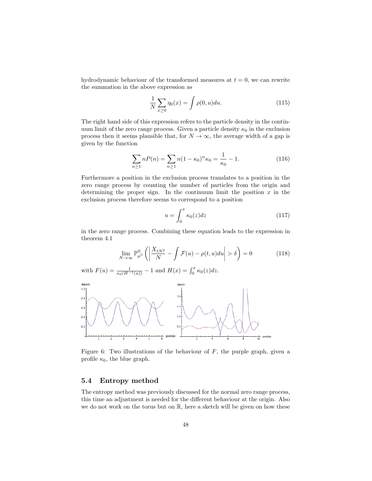hydrodynamic behaviour of the transformed measures at  $t = 0$ , we can rewrite the summation in the above expression as

$$
\frac{1}{N} \sum_{x \ge 0} \eta_0(x) = \int \rho(0, u) du.
$$
 (115)

The right hand side of this expression refers to the particle density in the continuum limit of the zero range process. Given a particle density  $\kappa_0$  in the exclusion process then it seems plausible that, for  $N \to \infty$ , the average width of a gap is given by the function

$$
\sum_{n\geq 1} nP(n) = \sum_{n\geq 1} n(1 - \kappa_0)^n \kappa_0 = \frac{1}{\kappa_0} - 1.
$$
 (116)

Furthermore a position in the exclusion process translates to a position in the zero range process by counting the number of particles from the origin and determining the proper sign. In the continuum limit the position  $x$  in the exclusion process therefore seems to correspond to a position

$$
u = \int_0^x \kappa_0(z) dz \tag{117}
$$

in the zero range process. Combining these equation leads to the expression in theorem 4.1

$$
\lim_{N \to \infty} \mathbb{P}_{\mu^{\mathbb{N}}}^{\mathbb{N}} \left( \left| \frac{X_{tN^2}}{N} - \int \mathcal{F}(u) - \rho(t, u) du \right| > \delta \right) = 0 \tag{118}
$$

with  $F(u) = \frac{1}{\kappa_0(H^{-1}(u))} - 1$  and  $H(x) = \int_0^x \kappa_0(z) dz$ .



Figure 6: Two illustrations of the behaviour of  $F$ , the purple graph, given a profile  $\kappa_0$ , the blue graph.

#### 5.4 Entropy method

The entropy method was previously discussed for the normal zero range process, this time an adjustment is needed for the different behaviour at the origin. Also we do not work on the torus but on R, here a sketch will be given on how these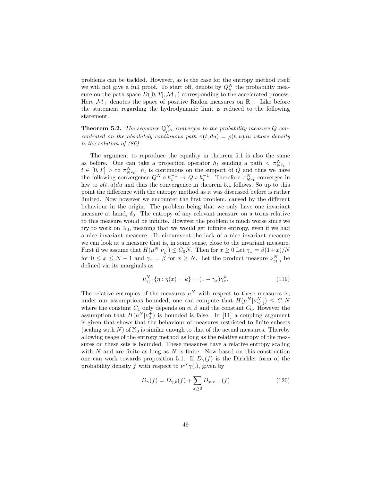problems can be tackled. However, as is the case for the entropy method itself we will not give a full proof. To start off, denote by  $Q_{\mu}^{N}$  the probability measure on the path space  $D([0, T], \mathcal{M}_+)$  corresponding to the accelerated process. Here  $\mathcal{M}_+$  denotes the space of positive Radon measures on  $\mathbb{R}_+$ . Like before the statement regarding the hydrodynamic limit is reduced to the following statement.

**Theorem 5.2.** The sequence  $\mathbb{Q}_{\mu^N}^N$  converges to the probability measure Q concentrated on the absolutely continuous path  $\pi(t, du) = \rho(t, u)du$  whose density is the solution of (86)

The argument to reproduce the equality in theorem 5.1 is also the same as before. One can take a projection operator  $h_t$  sending a path  $\langle \pi_{N^2t}^N :$  $t \in [0,T] >$  to  $\pi_{N^2t}^N$ .  $h_t$  is continuous on the support of Q and thus we have the following convergence  $Q^N \circ h_t^{-1} \to Q \circ h_t^{-1}$ . Therefore  $\pi_{N^2t}^N$  converges in law to  $\rho(t, u)du$  and thus the convergence in theorem 5.1 follows. So up to this point the difference with the entropy method as it was discussed before is rather limited. Now however we encounter the first problem, caused by the different behaviour in the origin. The problem being that we only have one invariant measure at hand,  $\delta_0$ . The entropy of any relevant measure on a torus relative to this measure would be infinite. However the problem is much worse since we try to work on  $\mathbb{N}_0$ , meaning that we would get infinite entropy, even if we had a nice invariant measure. To circumvent the lack of a nice invariant measure we can look at a measure that is, in some sense, close to the invariant measure. First if we assume that  $H(\mu^N|\nu_{\beta}^+) \leq C_0N$ . Then for  $x \geq 0$  Let  $\gamma_x = \beta(1+x)/N$ for  $0 \le x \le N-1$  and  $\gamma_x = \beta$  for  $x \ge N$ . Let the product measure  $\nu_{\gamma(.)}^N$  be defined via its marginals as

$$
\nu_{\gamma(.)}^N \{ \eta : \eta(x) = k \} = (1 - \gamma_x) \gamma_x^k. \tag{119}
$$

The relative entropies of the measures  $\mu^N$  with respect to these measures is, under our assumptions bounded, one can compute that  $H(\mu^N|\nu^N_{\gamma(.)}) \leq C_1 N$ where the constant  $C_1$  only depends on  $\alpha, \beta$  and the constant  $C_0$ . However the assumption that  $H(\mu^N|\nu_{\beta}^+)$  is bounded is false. In [11] a coupling argument is given that shows that the behaviour of measures restricted to finite subsets (scaling with  $N$ ) of  $\mathbb{N}_0$  is similar enough to that of the actual measures. Thereby allowing usage of the entropy method as long as the relative entropy of the measures on these sets is bounded. These measures have a relative entropy scaling with  $N$  and are finite as long as  $N$  is finite. Now based on this construction one can work towards proposition 5.1. If  $D_{\gamma}(f)$  is the Dirichlet form of the probability density f with respect to  $\nu^N \gamma(.)$ , given by

$$
D_{\gamma}(f) = D_{\gamma,b}(f) + \sum_{x \ge 0} D_{x,x+1}(f)
$$
 (120)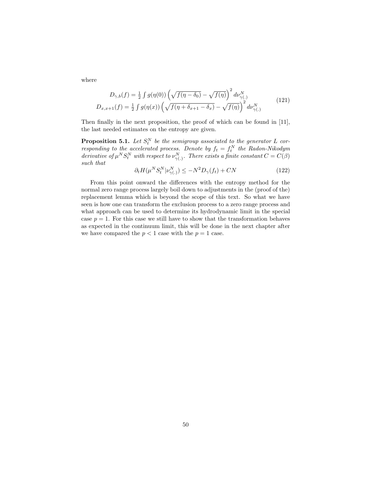where

$$
D_{\gamma,b}(f) = \frac{1}{2} \int g(\eta(0)) \left(\sqrt{f(\eta - \delta_0)} - \sqrt{f(\eta)}\right)^2 d\nu_{\gamma(.)}^N
$$
  

$$
D_{x,x+1}(f) = \frac{1}{2} \int g(\eta(x)) \left(\sqrt{f(\eta + \delta_{x+1} - \delta_x)} - \sqrt{f(\eta)}\right)^2 d\nu_{\gamma(.)}^N
$$
(121)

Then finally in the next proposition, the proof of which can be found in [11], the last needed estimates on the entropy are given.

**Proposition 5.1.** Let  $S_t^N$  be the semigroup associated to the generator L corresponding to the accelerated process. Denote by  $f_t = f_t^N$  the Radon-Nikodym derivative of  $\mu^N S_t^N$  with respect to  $\nu_{\gamma(.)}^N$ . There exists a finite constant  $C = C(\beta)$ such that

$$
\partial_t H(\mu^N S_t^N | \nu_{\gamma(.)}^N) \le -N^2 D_\gamma(f_t) + CN \tag{122}
$$

From this point onward the differences with the entropy method for the normal zero range process largely boil down to adjustments in the (proof of the) replacement lemma which is beyond the scope of this text. So what we have seen is how one can transform the exclusion process to a zero range process and what approach can be used to determine its hydrodynamic limit in the special case  $p = 1$ . For this case we still have to show that the transformation behaves as expected in the continuum limit, this will be done in the next chapter after we have compared the  $p < 1$  case with the  $p = 1$  case.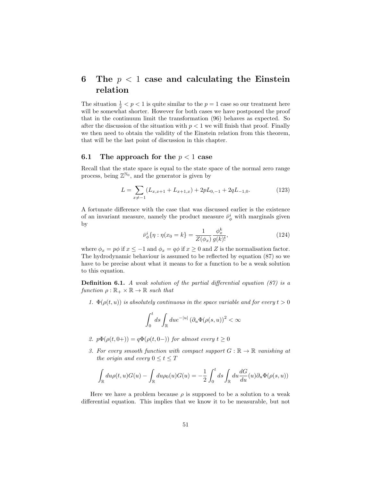## 6 The  $p < 1$  case and calculating the Einstein relation

The situation  $\frac{1}{2} < p < 1$  is quite similar to the  $p = 1$  case so our treatment here will be somewhat shorter. However for both cases we have postponed the proof that in the continuum limit the transformation (96) behaves as expected. So after the discussion of the situation with  $p < 1$  we will finish that proof. Finally we then need to obtain the validity of the Einstein relation from this theorem, that will be the last point of discussion in this chapter.

#### 6.1 The approach for the  $p < 1$  case

Recall that the state space is equal to the state space of the normal zero range process, being  $\mathbb{Z}^{\mathbb{N}_0}$ , and the generator is given by

$$
L = \sum_{x \neq -1} (L_{x,x+1} + L_{x+1,x}) + 2pL_{0,-1} + 2qL_{-1,0}.
$$
 (123)

A fortunate difference with the case that was discussed earlier is the existence of an invariant measure, namely the product measure  $\bar{\nu}_{\phi}^{i}$  with marginals given by

$$
\bar{\nu}_{\phi}^{i} \{ \eta : \eta(x_{0} = k \} = \frac{1}{Z(\phi_{x})} \frac{\phi_{x}^{k}}{g(k)!},
$$
\n(124)

where  $\phi_x = p\phi$  if  $x \le -1$  and  $\phi_x = q\phi$  if  $x \ge 0$  and Z is the normalisation factor. The hydrodynamic behaviour is assumed to be reflected by equation (87) so we have to be precise about what it means to for a function to be a weak solution to this equation.

**Definition 6.1.** A weak solution of the partial differential equation  $(87)$  is a function  $\rho : \mathbb{R}_+ \times \mathbb{R} \to \mathbb{R}$  such that

1.  $\Phi(\rho(t, u))$  is absolutely continuous in the space variable and for every  $t > 0$ 

$$
\int_0^t ds \int_{\mathbb{R}} du e^{-|u|} \left( \partial_u \Phi(\rho(s, u)) \right)^2 < \infty
$$

- 2.  $p\Phi(\rho(t, 0+)) = q\Phi(\rho(t, 0-))$  for almost every  $t > 0$
- 3. For every smooth function with compact support  $G : \mathbb{R} \to \mathbb{R}$  vanishing at the origin and every  $0 \le t \le T$

$$
\int_{\mathbb{R}} du \rho(t, u) G(u) - \int_{\mathbb{R}} du \rho_0(u) G(u) = -\frac{1}{2} \int_0^t ds \int_{\mathbb{R}} du \frac{dG}{du}(u) \partial_u \Phi(\rho(s, u))
$$

Here we have a problem because  $\rho$  is supposed to be a solution to a weak differential equation. This implies that we know it to be measurable, but not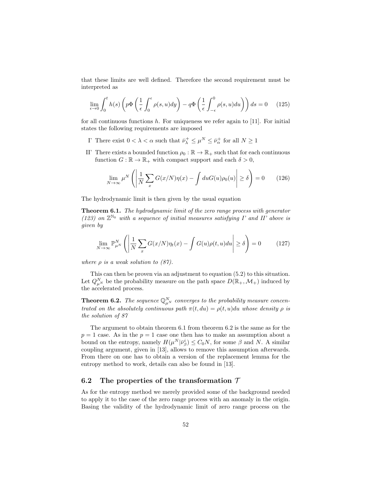that these limits are well defined. Therefore the second requirement must be interpreted as

$$
\lim_{\epsilon \to 0} \int_0^t h(s) \left( p \Phi \left( \frac{1}{\epsilon} \int_0^{\epsilon} \rho(s, u) dy \right) - q \Phi \left( \frac{1}{\epsilon} \int_{-\epsilon}^0 \rho(s, u) du \right) \right) ds = 0 \quad (125)
$$

for all continuous functions  $h$ . For uniqueness we refer again to [11]. For initial states the following requirements are imposed

- I' There exist  $0 < \lambda < \alpha$  such that  $\bar{\nu}_{\lambda}^{+} \leq \mu^{N} \leq \bar{\nu}_{\alpha}^{+}$  for all  $N \geq 1$
- II' There exists a bounded function  $\rho_0 : \mathbb{R} \to \mathbb{R}_+$  such that for each continuous function  $G : \mathbb{R} \to \mathbb{R}_+$  with compact support and each  $\delta > 0$ ,

$$
\lim_{N \to \infty} \mu^N \left( \left| \frac{1}{N} \sum_x G(x/N) \eta(x) - \int du G(u) \rho_0(u) \right| \ge \delta \right) = 0 \qquad (126)
$$

The hydrodynamic limit is then given by the usual equation

Theorem 6.1. The hydrodynamic limit of the zero range process with generator (123) on  $\mathbb{Z}^{\mathbb{N}_0}$  with a sequence of initial measures satisfying I' and II' above is given by

$$
\lim_{N \to \infty} \mathbb{P}_{\mu}^{N} \left( \left| \frac{1}{N} \sum_{x} G(x/N) \eta_t(x) - \int G(u) \rho(t, u) du \right| \ge \delta \right) = 0 \tag{127}
$$

where  $\rho$  is a weak solution to (87).

This can then be proven via an adjustment to equation (5.2) to this situation. Let  $Q_{\mu^N}^N$  be the probability measure on the path space  $D(\mathbb{R}_+,\mathcal{M}_+)$  induced by the accelerated process.

**Theorem 6.2.** The sequence  $\mathbb{Q}_{\mu^N}^N$  converges to the probability measure concentrated on the absolutely continuous path  $\pi(t, du) = \rho(t, u)du$  whose density  $\rho$  is the solution of 87

The argument to obtain theorem 6.1 from theorem 6.2 is the same as for the  $p = 1$  case. As in the  $p = 1$  case one then has to make an assumption about a bound on the entropy, namely  $H(\mu^N|\bar{\nu}^i_{\beta}) \leq C_0 N$ , for some  $\beta$  and N. A similar coupling argument, given in [13], allows to remove this assumption afterwards. From there on one has to obtain a version of the replacement lemma for the entropy method to work, details can also be found in [13].

#### 6.2 The properties of the transformation  $\mathcal T$

As for the entropy method we merely provided some of the background needed to apply it to the case of the zero range process with an anomaly in the origin. Basing the validity of the hydrodynamic limit of zero range process on the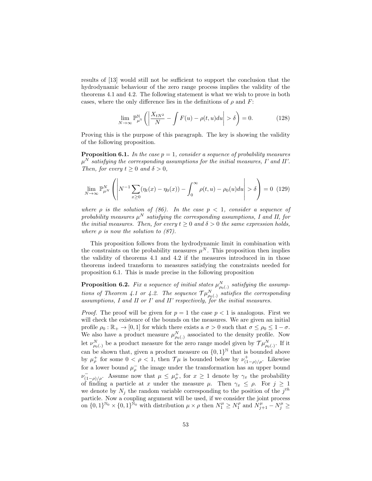results of [13] would still not be sufficient to support the conclusion that the hydrodynamic behaviour of the zero range process implies the validity of the theorems 4.1 and 4.2. The following statement is what we wish to prove in both cases, where the only difference lies in the definitions of  $\rho$  and  $F$ :

$$
\lim_{N \to \infty} \mathbb{P}_{\mu^{\mathbb{N}}}^{\mathbb{N}} \left( \left| \frac{X_{tN^2}}{N} - \int F(u) - \rho(t, u) du \right| > \delta \right) = 0. \tag{128}
$$

Proving this is the purpose of this paragraph. The key is showing the validity of the following proposition.

**Proposition 6.1.** In the case  $p = 1$ , consider a sequence of probability measures  $\mu^N$  satisfying the corresponding assumptions for the initial measures, I' and II'. Then, for every  $t \geq 0$  and  $\delta > 0$ ,

$$
\lim_{N \to \infty} \mathbb{P}_{\mu^N}^N \left( \left| N^{-1} \sum_{x \ge 0} (\eta_t(x) - \eta_0(x)) - \int_0^\infty \rho(t, u) - \rho_0(u) du \right| > \delta \right) = 0 \tag{129}
$$

where  $\rho$  is the solution of (86). In the case  $p < 1$ , consider a sequence of probability measures  $\mu^N$  satisfying the corresponding assumptions, I and II, for the initial measures. Then, for every  $t \geq 0$  and  $\delta > 0$  the same expression holds, where  $\rho$  is now the solution to (87).

This proposition follows from the hydrodynamic limit in combination with the constraints on the probability measures  $\mu^N$ . This proposition then implies the validity of theorems 4.1 and 4.2 if the measures introduced in in those theorems indeed transform to measures satisfying the constraints needed for proposition 6.1. This is made precise in the following proposition

**Proposition 6.2.** Fix a sequence of initial states  $\mu_{\rho_0(.)}^N$  satisfying the assumptions of Theorem 4.1 or 4.2. The sequence  $\mathcal{TH}_{\rho_0(\cdot)}^N$  satisfies the corresponding assumptions, I and II or I' and II' respectively, for the initial measures.

*Proof.* The proof will be given for  $p = 1$  the case  $p < 1$  is analogous. First we will check the existence of the bounds on the measures. We are given an initial profile  $\rho_0 : \mathbb{R}_+ \to [0, 1]$  for which there exists a  $\sigma > 0$  such that  $\sigma \leq \rho_0 \leq 1 - \sigma$ . We also have a product measure  $\mu_{\rho_0(.)}^N$  associated to the density profile. Now let  $\nu_{\rho_0(.)}^N$  be a product measure for the zero range model given by  $\mathcal{TH}_{\rho_0(.)}^N$ . If it can be shown that, given a product measure on  $\{0,1\}^{\mathbb{N}}$  that is bounded above by  $\mu_{\rho}^+$  for some  $0 < \rho < 1$ , then  $\mathcal{T}\mu$  is bounded below by  $\nu_{(1-\rho)/\rho}^+$ . Likewise for a lower bound  $\mu_{\rho}^-$  the image under the transformation has an upper bound  $\nu_{(1-\rho)/\rho}^{-}$ . Assume now that  $\mu \leq \mu_{\rho}^{+}$ , for  $x \geq 1$  denote by  $\gamma_x$  the probability of finding a particle at x under the measure  $\mu$ . Then  $\gamma_x \leq \rho$ . For  $j \geq 1$ we denote by  $N_j$  the random variable corresponding to the position of the  $j^{th}$ particle. Now a coupling argument will be used, if we consider the joint process on  $\{0,1\}^{\mathbb{N}_0} \times \{0,1\}^{\mathbb{N}_0}$  with distribution  $\mu \times \rho$  then  $N_1^{\mu} \geq N_1^{\rho}$  and  $N_{j+1}^{\mu} - N_j^{\mu} \geq$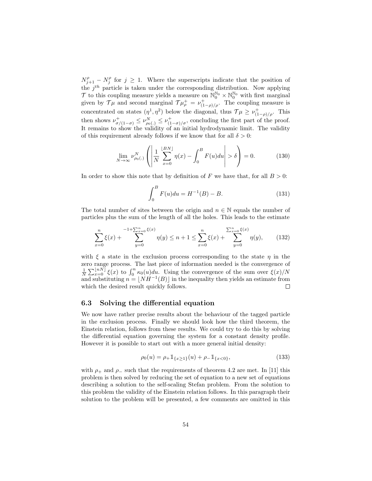$N_{j+1}^{\rho} - N_j^{\rho}$  for  $j \geq 1$ . Where the superscripts indicate that the position of the  $j<sup>th</sup>$  particle is taken under the corresponding distribution. Now applying  $\mathcal{T}$  to this coupling measure yields a measure on  $\mathbb{N}_0^{\mathbb{N}_0} \times \mathbb{N}_0^{\mathbb{N}_0}$  with first marginal given by  $\mathcal{T}\mu$  and second marginal  $\mathcal{T}\mu_{\rho}^{+} = \nu_{(1-\rho)/\rho}^{+}$ . The coupling measure is concentrated on states  $(\eta^1, \eta^2)$  below the diagonal, thus  $\mathcal{T}\mu \geq \nu_{(1-\rho)/\rho}^+$ . This then shows  $\nu_{\sigma/(1-\sigma)}^+ \leq \nu_{\rho_0(.)}^N \leq \nu_{(1-\sigma)/\sigma}^+$ , concluding the first part of the proof. It remains to show the validity of an initial hydrodynamic limit. The validity of this requirement already follows if we know that for all  $\delta > 0$ :

$$
\lim_{N \to \infty} \nu_{\rho_0(.)}^N \left( \left| \frac{1}{N} \sum_{x=0}^{\lfloor BN \rfloor} \eta(x) - \int_0^B F(u) du \right| > \delta \right) = 0. \tag{130}
$$

In order to show this note that by definition of F we have that, for all  $B > 0$ :

$$
\int_{0}^{B} F(u) du = H^{-1}(B) - B.
$$
 (131)

The total number of sites between the origin and  $n \in \mathbb{N}$  equals the number of particles plus the sum of the length of all the holes. This leads to the estimate

$$
\sum_{x=0}^{n} \xi(x) + \sum_{y=0}^{-1+\sum_{x=0}^{n} \xi(x)} \eta(y) \le n+1 \le \sum_{x=0}^{n} \xi(x) + \sum_{y=0}^{\sum_{x=0}^{n} \xi(x)} \eta(y), \qquad (132)
$$

with  $\xi$  a state in the exclusion process corresponding to the state  $\eta$  in the zero range process. The last piece of information needed is the convergence of  $\frac{1}{N}\sum_{x=0}^{\lfloor nN \rfloor} \xi(x)$  to  $\int_0^n \kappa_0(u)du$ . Using the convergence of the sum over  $\xi(x)/N$ and substituting  $n = \lfloor NH^{-1}(B) \rfloor$  in the inequality then yields an estimate from which the desired result quickly follows.  $\Box$ 

#### 6.3 Solving the differential equation

We now have rather precise results about the behaviour of the tagged particle in the exclusion process. Finally we should look how the third theorem, the Einstein relation, follows from these results. We could try to do this by solving the differential equation governing the system for a constant density profile. However it is possible to start out with a more general initial density:

$$
\rho_0(u) = \rho_+ 1_{\{x \ge 1\}}(u) + \rho_- 1_{\{x < 0\}},\tag{133}
$$

with  $\rho_+$  and  $\rho_-$  such that the requirements of theorem 4.2 are met. In [11] this problem is then solved by reducing the set of equation to a new set of equations describing a solution to the self-scaling Stefan problem. From the solution to this problem the validity of the Einstein relation follows. In this paragraph their solution to the problem will be presented, a few comments are omitted in this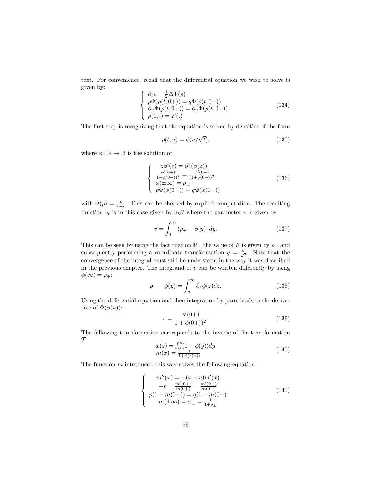text. For convenience, recall that the differential equation we wish to solve is given by:

$$
\begin{cases}\n\partial_t \rho = \frac{1}{2} \Delta \Phi(\rho) \\
p \Phi(\rho(t, 0+)) = q \Phi(\rho(t, 0-)) \\
\partial_u \Phi(\rho(t, 0+)) = \partial_u \Phi(\rho(t, 0-)) \\
\rho(0,.) = F(.)\n\end{cases}
$$
\n(134)

The first step is recognizing that the equation is solved by densities of the form

$$
\rho(t, u) = \phi(u/\sqrt{t}),\tag{135}
$$

where  $\phi : \mathbb{R} \to \mathbb{R}$  is the solution of

$$
\begin{cases}\n-z\phi'(z) = \partial_z^2(\phi(z)) \\
\frac{\phi'(0+)}{1+\phi(0+))^2} = \frac{\phi'(0-)}{(1+\phi(0-))^2} \\
\phi(\pm \infty) = \rho_{\pm} \\
p\Phi(\phi(0+)) = q\Phi(\phi(0-))\n\end{cases}
$$
\n(136)

with  $\Phi(\rho) = \frac{\rho}{1-\rho}$ . This can be checked by explicit computation. The resulting function  $v_t$  is in this case given by  $v \sqrt{t}$  where the parameter v is given by

$$
v = \int_0^\infty (\rho_+ - \phi(y)) dy.
$$
 (137)

This can be seen by using the fact that on  $\mathbb{R}_+$  the value of F is given by  $\rho_+$  and subsequently performing a coordinate transformation  $y = \frac{u}{\sqrt{t}}$ . Note that the convergence of the integral must still be understood in the way it was described in the previous chapter. The integrand of  $v$  can be written differently by using  $\phi(\infty) = \rho_+$ :

$$
\rho_+ - \phi(y) = \int_y^\infty \partial_z \phi(z) dz.
$$
\n(138)

Using the differential equation and then integration by parts leads to the derivative of  $\Phi(\phi(u))$ :

$$
v = \frac{\phi'(0+)}{1 + \phi(0+))^2}.
$$
\n(139)

The following transformation corresponds to the inverse of the transformation  $\tau$ 

$$
x(z) = \int_0^z (1 + \phi(y)) dy
$$
  
\n
$$
m(x) = \frac{1}{1 + \phi(z(x))}
$$
\n(140)

The function  $m$  introduced this way solves the following equation

$$
\begin{cases}\n m''(x) = -(x+v)m'(x) \\
-v = \frac{m'(0+)}{m(0+)} = \frac{m'(0-)}{m(0-)} \\
p(1-m(0+)) = q(1-m(0-)) \\
m(\pm \infty) = \alpha_{\pm} = \frac{1}{1+\rho_{\pm}}\n\end{cases}
$$
\n(141)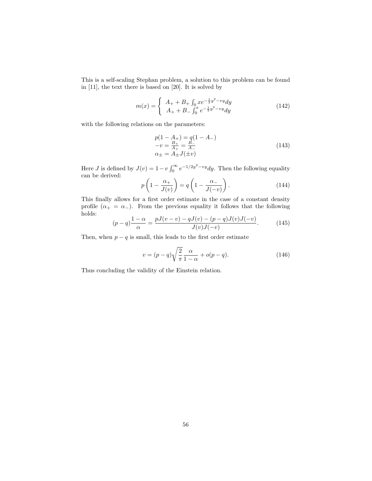This is a self-scaling Stephan problem, a solution to this problem can be found in [11], the text there is based on [20]. It is solved by

$$
m(x) = \begin{cases} A_{+} + B_{+} \int_{0} x e^{-\frac{1}{2}y^{2} - vy} dy \\ A_{+} + B_{-} \int_{0}^{x} e^{-\frac{1}{2}y^{2} - vy} dy \end{cases}
$$
(142)

with the following relations on the parameters:

$$
p(1 - A_{+}) = q(1 - A_{-})
$$
  
\n
$$
-v = \frac{B_{+}}{A_{+}} = \frac{B_{-}}{A_{-}}
$$
  
\n
$$
\alpha_{\pm} = A_{\pm}J(\pm v)
$$
\n(143)

Here *J* is defined by  $J(v) = 1 - v \int_0^\infty e^{-1/2y^2 - vy} dy$ . Then the following equality can be derived:

$$
p\left(1 - \frac{\alpha_+}{J(v)}\right) = q\left(1 - \frac{\alpha_-}{J(-v)}\right). \tag{144}
$$

This finally allows for a first order estimate in the case of a constant density profile  $(\alpha_+ = \alpha_-)$ . From the previous equality it follows that the following holds:

$$
(p-q)\frac{1-\alpha}{\alpha} = \frac{pJ(v-v) - qJ(v) - (p-q)J(v)J(-v)}{J(v)J(-v)}.
$$
 (145)

Then, when  $p - q$  is small, this leads to the first order estimate

$$
v = (p - q)\sqrt{\frac{2}{\pi}} \frac{\alpha}{1 - \alpha} + o(p - q). \tag{146}
$$

Thus concluding the validity of the Einstein relation.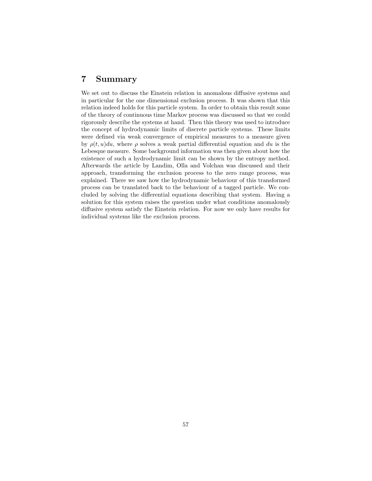## 7 Summary

We set out to discuss the Einstein relation in anomalous diffusive systems and in particular for the one dimensional exclusion process. It was shown that this relation indeed holds for this particle system. In order to obtain this result some of the theory of continuous time Markov process was discussed so that we could rigorously describe the systems at hand. Then this theory was used to introduce the concept of hydrodynamic limits of discrete particle systems. These limits were defined via weak convergence of empirical measures to a measure given by  $\rho(t, u)du$ , where  $\rho$  solves a weak partial differential equation and du is the Lebesque measure. Some background information was then given about how the existence of such a hydrodynamic limit can be shown by the entropy method. Afterwards the article by Landim, Olla and Volchan was discussed and their approach, transforming the exclusion process to the zero range process, was explained. There we saw how the hydrodynamic behaviour of this transformed process can be translated back to the behaviour of a tagged particle. We concluded by solving the differential equations describing that system. Having a solution for this system raises the question under what conditions anomalously diffusive system satisfy the Einstein relation. For now we only have results for individual systems like the exclusion process.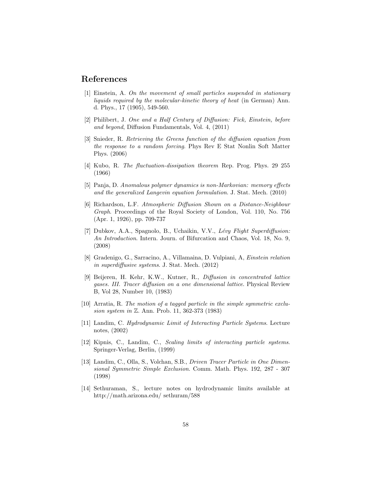## References

- [1] Einstein, A. On the movement of small particles suspended in stationary liquids required by the molecular-kinetic theory of heat (in German) Ann. d. Phys., 17 (1905), 549-560.
- [2] Philibert, J. One and a Half Century of Diffusion: Fick, Einstein, before and beyond, Diffusion Fundamentals, Vol. 4, (2011)
- [3] Snieder, R. Retrieving the Greens function of the diffusion equation from the response to a random forcing. Phys Rev E Stat Nonlin Soft Matter Phys. (2006)
- [4] Kubo, R. The fluctuation-dissipation theorem Rep. Prog. Phys. 29 255 (1966)
- [5] Panja, D. Anomalous polymer dynamics is non-Markovian: memory effects and the generalized Langevin equation formulation. J. Stat. Mech. (2010)
- [6] Richardson, L.F. Atmospheric Diffusion Shown on a Distance-Neighbour Graph. Proceedings of the Royal Society of London, Vol. 110, No. 756 (Apr. 1, 1926), pp. 709-737
- [7] Dubkov, A.A., Spagnolo, B., Uchaikin, V.V., Lévy Flight Superdiffusion: An Introduction. Intern. Journ. of Bifurcation and Chaos, Vol. 18, No. 9, (2008)
- [8] Gradenigo, G., Sarracino, A., Villamaina, D. Vulpiani, A, Einstein relation in superdiffusive systems. J. Stat. Mech. (2012)
- [9] Beijeren, H. Kehr, K.W., Kutner, R., Diffusion in concentrated lattice gases. III. Tracer diffusion on a one dimensional lattice. Physical Review B, Vol 28, Number 10, (1983)
- [10] Arratia, R. The motion of a tagged particle in the simple symmetric exclusion system in Z. Ann. Prob. 11, 362-373 (1983)
- [11] Landim, C. Hydrodynamic Limit of Interacting Particle Systems. Lecture notes, (2002)
- [12] Kipnis, C., Landim, C., Scaling limits of interacting particle systems. Springer-Verlag, Berlin, (1999)
- [13] Landim, C., Olla, S., Volchan, S.B., Driven Tracer Particle in One Dimensional Symmetric Simple Exclusion. Comm. Math. Phys. 192, 287 - 307 (1998)
- [14] Sethuraman, S., lecture notes on hydrodynamic limits available at http://math.arizona.edu/ sethuram/588